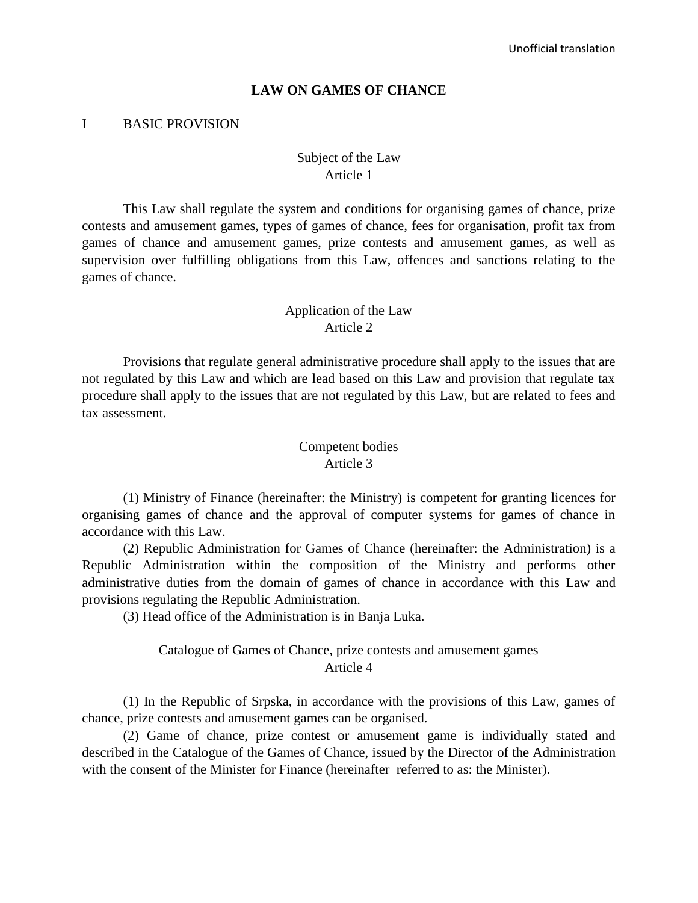#### **LAW ON GAMES OF CHANCE**

#### I BASIC PROVISION

#### Subject of the Law Article 1

This Law shall regulate the system and conditions for organising games of chance, prize contests and amusement games, types of games of chance, fees for organisation, profit tax from games of chance and amusement games, prize contests and amusement games, as well as supervision over fulfilling obligations from this Law, offences and sanctions relating to the games of chance.

#### Application of the Law Article 2

Provisions that regulate general administrative procedure shall apply to the issues that are not regulated by this Law and which are lead based on this Law and provision that regulate tax procedure shall apply to the issues that are not regulated by this Law, but are related to fees and tax assessment.

#### Competent bodies Article 3

(1) Ministry of Finance (hereinafter: the Ministry) is competent for granting licences for organising games of chance and the approval of computer systems for games of chance in accordance with this Law.

(2) Republic Administration for Games of Chance (hereinafter: the Administration) is a Republic Administration within the composition of the Ministry and performs other administrative duties from the domain of games of chance in accordance with this Law and provisions regulating the Republic Administration.

(3) Head office of the Administration is in Banja Luka.

## Catalogue of Games of Chance, prize contests and amusement games Article 4

(1) In the Republic of Srpska, in accordance with the provisions of this Law, games of chance, prize contests and amusement games can be organised.

(2) Game of chance, prize contest or amusement game is individually stated and described in the Catalogue of the Games of Chance, issued by the Director of the Administration with the consent of the Minister for Finance (hereinafter referred to as: the Minister).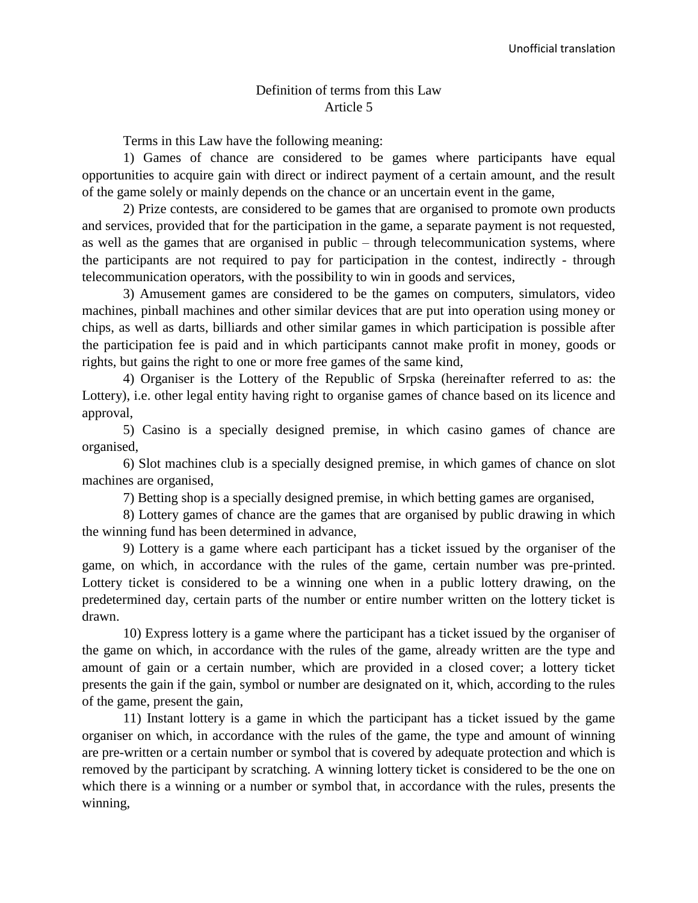#### Definition of terms from this Law Article 5

Terms in this Law have the following meaning:

1) Games of chance are considered to be games where participants have equal opportunities to acquire gain with direct or indirect payment of a certain amount, and the result of the game solely or mainly depends on the chance or an uncertain event in the game,

2) Prize contests, are considered to be games that are organised to promote own products and services, provided that for the participation in the game, a separate payment is not requested, as well as the games that are organised in public – through telecommunication systems, where the participants are not required to pay for participation in the contest, indirectly - through telecommunication operators, with the possibility to win in goods and services,

3) Amusement games are considered to be the games on computers, simulators, video machines, pinball machines and other similar devices that are put into operation using money or chips, as well as darts, billiards and other similar games in which participation is possible after the participation fee is paid and in which participants cannot make profit in money, goods or rights, but gains the right to one or more free games of the same kind,

4) Organiser is the Lottery of the Republic of Srpska (hereinafter referred to as: the Lottery), i.e. other legal entity having right to organise games of chance based on its licence and approval,

5) Casino is a specially designed premise, in which casino games of chance are organised,

6) Slot machines club is a specially designed premise, in which games of chance on slot machines are organised,

7) Betting shop is a specially designed premise, in which betting games are organised,

8) Lottery games of chance are the games that are organised by public drawing in which the winning fund has been determined in advance,

9) Lottery is a game where each participant has a ticket issued by the organiser of the game, on which, in accordance with the rules of the game, certain number was pre-printed. Lottery ticket is considered to be a winning one when in a public lottery drawing, on the predetermined day, certain parts of the number or entire number written on the lottery ticket is drawn.

10) Express lottery is a game where the participant has a ticket issued by the organiser of the game on which, in accordance with the rules of the game, already written are the type and amount of gain or a certain number, which are provided in a closed cover; a lottery ticket presents the gain if the gain, symbol or number are designated on it, which, according to the rules of the game, present the gain,

11) Instant lottery is a game in which the participant has a ticket issued by the game organiser on which, in accordance with the rules of the game, the type and amount of winning are pre-written or a certain number or symbol that is covered by adequate protection and which is removed by the participant by scratching. A winning lottery ticket is considered to be the one on which there is a winning or a number or symbol that, in accordance with the rules, presents the winning,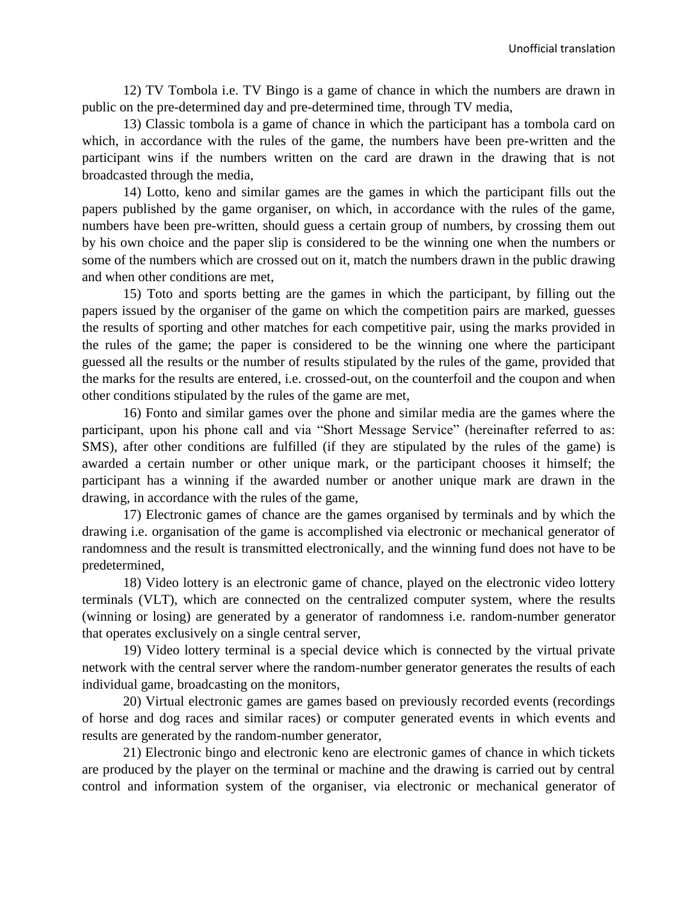12) TV Tombola i.e. TV Bingo is a game of chance in which the numbers are drawn in public on the pre-determined day and pre-determined time, through TV media,

13) Classic tombola is a game of chance in which the participant has a tombola card on which, in accordance with the rules of the game, the numbers have been pre-written and the participant wins if the numbers written on the card are drawn in the drawing that is not broadcasted through the media,

14) Lotto, keno and similar games are the games in which the participant fills out the papers published by the game organiser, on which, in accordance with the rules of the game, numbers have been pre-written, should guess a certain group of numbers, by crossing them out by his own choice and the paper slip is considered to be the winning one when the numbers or some of the numbers which are crossed out on it, match the numbers drawn in the public drawing and when other conditions are met,

15) Toto and sports betting are the games in which the participant, by filling out the papers issued by the organiser of the game on which the competition pairs are marked, guesses the results of sporting and other matches for each competitive pair, using the marks provided in the rules of the game; the paper is considered to be the winning one where the participant guessed all the results or the number of results stipulated by the rules of the game, provided that the marks for the results are entered, i.e. crossed-out, on the counterfoil and the coupon and when other conditions stipulated by the rules of the game are met,

16) Fonto and similar games over the phone and similar media are the games where the participant, upon his phone call and via "Short Message Service" (hereinafter referred to as: SMS), after other conditions are fulfilled (if they are stipulated by the rules of the game) is awarded a certain number or other unique mark, or the participant chooses it himself; the participant has a winning if the awarded number or another unique mark are drawn in the drawing, in accordance with the rules of the game,

17) Electronic games of chance are the games organised by terminals and by which the drawing i.e. organisation of the game is accomplished via electronic or mechanical generator of randomness and the result is transmitted electronically, and the winning fund does not have to be predetermined,

18) Video lottery is an electronic game of chance, played on the electronic video lottery terminals (VLT), which are connected on the centralized computer system, where the results (winning or losing) are generated by a generator of randomness i.e. random-number generator that operates exclusively on a single central server,

19) Video lottery terminal is a special device which is connected by the virtual private network with the central server where the random-number generator generates the results of each individual game, broadcasting on the monitors,

20) Virtual electronic games are games based on previously recorded events (recordings of horse and dog races and similar races) or computer generated events in which events and results are generated by the random-number generator,

21) Electronic bingo and electronic keno are electronic games of chance in which tickets are produced by the player on the terminal or machine and the drawing is carried out by central control and information system of the organiser, via electronic or mechanical generator of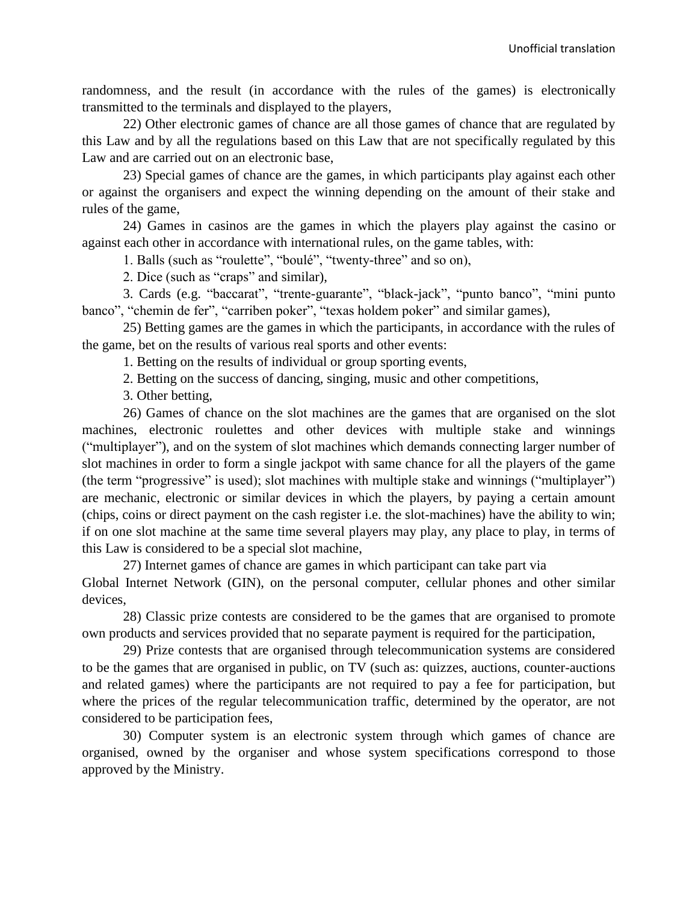randomness, and the result (in accordance with the rules of the games) is electronically transmitted to the terminals and displayed to the players,

22) Other electronic games of chance are all those games of chance that are regulated by this Law and by all the regulations based on this Law that are not specifically regulated by this Law and are carried out on an electronic base,

23) Special games of chance are the games, in which participants play against each other or against the organisers and expect the winning depending on the amount of their stake and rules of the game,

24) Games in casinos are the games in which the players play against the casino or against each other in accordance with international rules, on the game tables, with:

1. Balls (such as "roulette", "boulé", "twenty-three" and so on),

2. Dice (such as "craps" and similar),

3. Cards (e.g. "baccarat", "trente-guarante", "black-jack", "punto banco", "mini punto banco", "chemin de fer", "carriben poker", "texas holdem poker" and similar games),

25) Betting games are the games in which the participants, in accordance with the rules of the game, bet on the results of various real sports and other events:

1. Betting on the results of individual or group sporting events,

2. Betting on the success of dancing, singing, music and other competitions,

3. Other betting,

26) Games of chance on the slot machines are the games that are organised on the slot machines, electronic roulettes and other devices with multiple stake and winnings ("multiplayer"), and on the system of slot machines which demands connecting larger number of slot machines in order to form a single jackpot with same chance for all the players of the game (the term "progressive" is used); slot machines with multiple stake and winnings ("multiplayer") are mechanic, electronic or similar devices in which the players, by paying a certain amount (chips, coins or direct payment on the cash register i.e. the slot-machines) have the ability to win; if on one slot machine at the same time several players may play, any place to play, in terms of this Law is considered to be a special slot machine,

27) Internet games of chance are games in which participant can take part via Global Internet Network (GIN), on the personal computer, cellular phones and other similar devices,

28) Classic prize contests are considered to be the games that are organised to promote own products and services provided that no separate payment is required for the participation,

29) Prize contests that are organised through telecommunication systems are considered to be the games that are organised in public, on TV (such as: quizzes, auctions, counter-auctions and related games) where the participants are not required to pay a fee for participation, but where the prices of the regular telecommunication traffic, determined by the operator, are not considered to be participation fees,

30) Computer system is an electronic system through which games of chance are organised, owned by the organiser and whose system specifications correspond to those approved by the Ministry.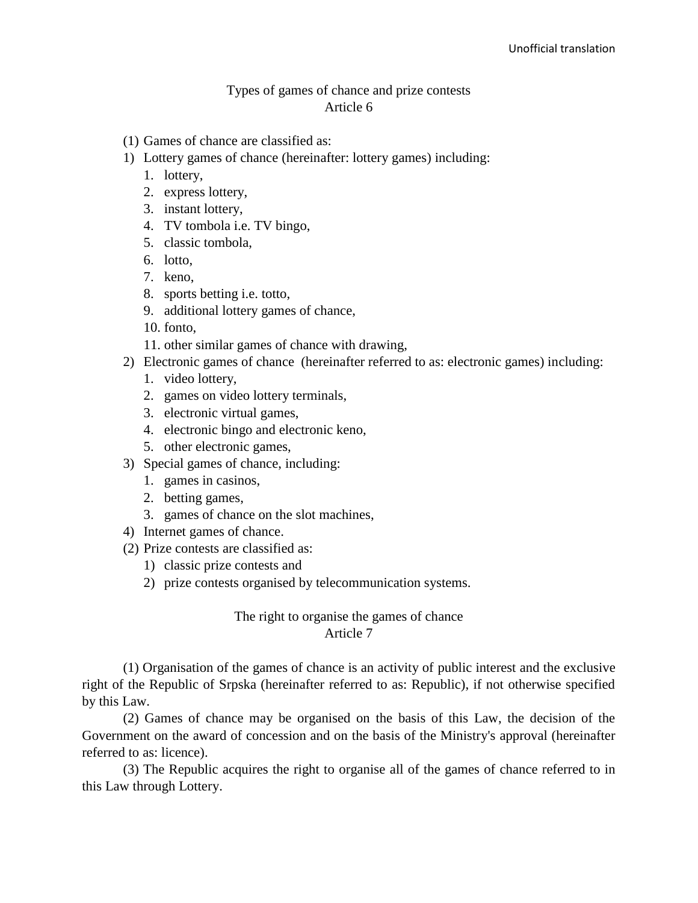#### Types of games of chance and prize contests Article 6

- (1) Games of chance are classified as:
- 1) Lottery games of chance (hereinafter: lottery games) including:
	- 1. lottery,
	- 2. express lottery,
	- 3. instant lottery,
	- 4. TV tombola i.e. TV bingo,
	- 5. classic tombola,
	- 6. lotto,
	- 7. keno,
	- 8. sports betting i.e. totto,
	- 9. additional lottery games of chance,
	- 10. fonto,
	- 11. other similar games of chance with drawing,
- 2) Electronic games of chance (hereinafter referred to as: electronic games) including:
	- 1. video lottery,
	- 2. games on video lottery terminals,
	- 3. electronic virtual games,
	- 4. electronic bingo and electronic keno,
	- 5. other electronic games,
- 3) Special games of chance, including:
	- 1. games in casinos,
	- 2. betting games,
	- 3. games of chance on the slot machines,
- 4) Internet games of chance.
- (2) Prize contests are classified as:
	- 1) classic prize contests and
	- 2) prize contests organised by telecommunication systems.

#### The right to organise the games of chance Article 7

(1) Organisation of the games of chance is an activity of public interest and the exclusive right of the Republic of Srpska (hereinafter referred to as: Republic), if not otherwise specified by this Law.

(2) Games of chance may be organised on the basis of this Law, the decision of the Government on the award of concession and on the basis of the Ministry's approval (hereinafter referred to as: licence).

(3) The Republic acquires the right to organise all of the games of chance referred to in this Law through Lottery.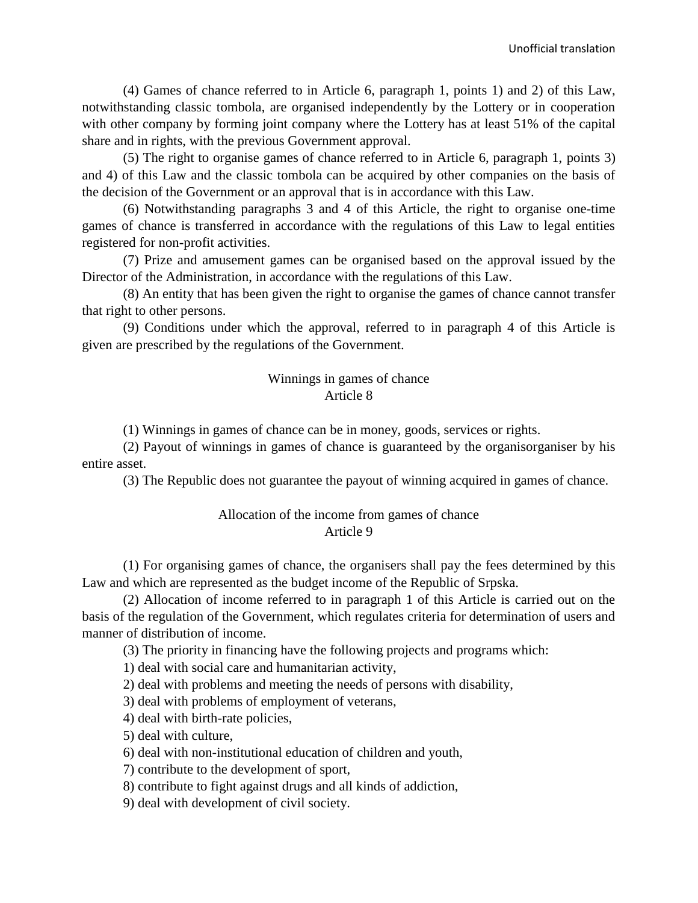(4) Games of chance referred to in Article 6, paragraph 1, points 1) and 2) of this Law, notwithstanding classic tombola, are organised independently by the Lottery or in cooperation with other company by forming joint company where the Lottery has at least 51% of the capital share and in rights, with the previous Government approval.

(5) The right to organise games of chance referred to in Article 6, paragraph 1, points 3) and 4) of this Law and the classic tombola can be acquired by other companies on the basis of the decision of the Government or an approval that is in accordance with this Law.

(6) Notwithstanding paragraphs 3 and 4 of this Article, the right to organise one-time games of chance is transferred in accordance with the regulations of this Law to legal entities registered for non-profit activities.

(7) Prize and amusement games can be organised based on the approval issued by the Director of the Administration, in accordance with the regulations of this Law.

(8) An entity that has been given the right to organise the games of chance cannot transfer that right to other persons.

(9) Conditions under which the approval, referred to in paragraph 4 of this Article is given are prescribed by the regulations of the Government.

#### Winnings in games of chance Article 8

(1) Winnings in games of chance can be in money, goods, services or rights.

(2) Payout of winnings in games of chance is guaranteed by the organisorganiser by his entire asset.

(3) The Republic does not guarantee the payout of winning acquired in games of chance.

#### Allocation of the income from games of chance Article 9

(1) For organising games of chance, the organisers shall pay the fees determined by this Law and which are represented as the budget income of the Republic of Srpska.

(2) Allocation of income referred to in paragraph 1 of this Article is carried out on the basis of the regulation of the Government, which regulates criteria for determination of users and manner of distribution of income.

(3) The priority in financing have the following projects and programs which:

1) deal with social care and humanitarian activity,

2) deal with problems and meeting the needs of persons with disability,

3) deal with problems of employment of veterans,

4) deal with birth-rate policies,

5) deal with culture,

6) deal with non-institutional education of children and youth,

7) contribute to the development of sport,

8) contribute to fight against drugs and all kinds of addiction,

9) deal with development of civil society.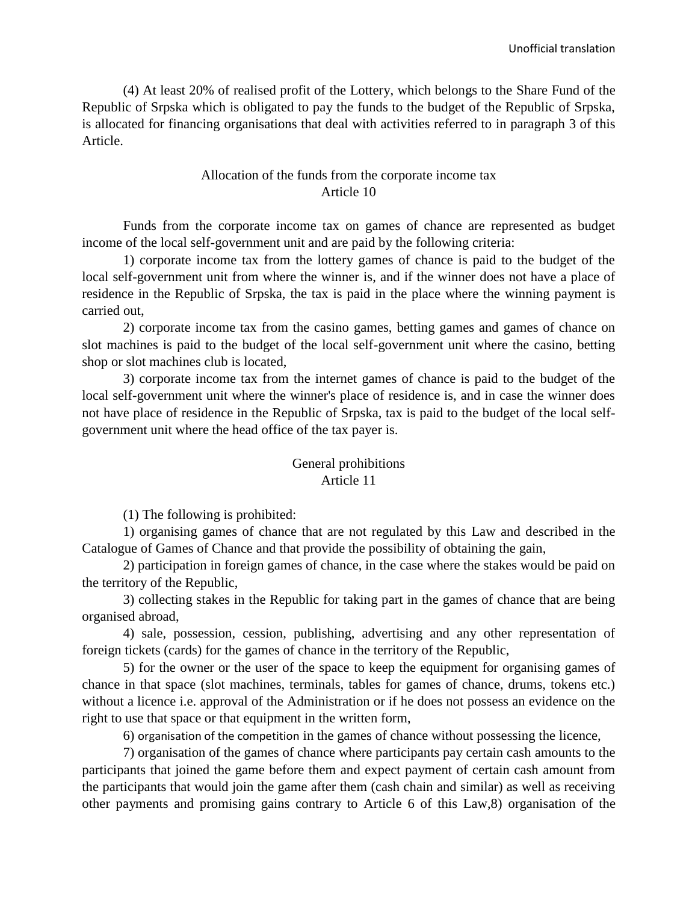(4) At least 20% of realised profit of the Lottery, which belongs to the Share Fund of the Republic of Srpska which is obligated to pay the funds to the budget of the Republic of Srpska, is allocated for financing organisations that deal with activities referred to in paragraph 3 of this Article.

# Allocation of the funds from the corporate income tax Article 10

Funds from the corporate income tax on games of chance are represented as budget income of the local self-government unit and are paid by the following criteria:

1) corporate income tax from the lottery games of chance is paid to the budget of the local self-government unit from where the winner is, and if the winner does not have a place of residence in the Republic of Srpska, the tax is paid in the place where the winning payment is carried out,

2) corporate income tax from the casino games, betting games and games of chance on slot machines is paid to the budget of the local self-government unit where the casino, betting shop or slot machines club is located,

3) corporate income tax from the internet games of chance is paid to the budget of the local self-government unit where the winner's place of residence is, and in case the winner does not have place of residence in the Republic of Srpska, tax is paid to the budget of the local selfgovernment unit where the head office of the tax payer is.

## General prohibitions Article 11

(1) The following is prohibited:

1) organising games of chance that are not regulated by this Law and described in the Catalogue of Games of Chance and that provide the possibility of obtaining the gain,

2) participation in foreign games of chance, in the case where the stakes would be paid on the territory of the Republic,

3) collecting stakes in the Republic for taking part in the games of chance that are being organised abroad,

4) sale, possession, cession, publishing, advertising and any other representation of foreign tickets (cards) for the games of chance in the territory of the Republic,

5) for the owner or the user of the space to keep the equipment for organising games of chance in that space (slot machines, terminals, tables for games of chance, drums, tokens etc.) without a licence i.e. approval of the Administration or if he does not possess an evidence on the right to use that space or that equipment in the written form,

6) organisation of the competition in the games of chance without possessing the licence,

7) organisation of the games of chance where participants pay certain cash amounts to the participants that joined the game before them and expect payment of certain cash amount from the participants that would join the game after them (cash chain and similar) as well as receiving other payments and promising gains contrary to Article 6 of this Law,8) organisation of the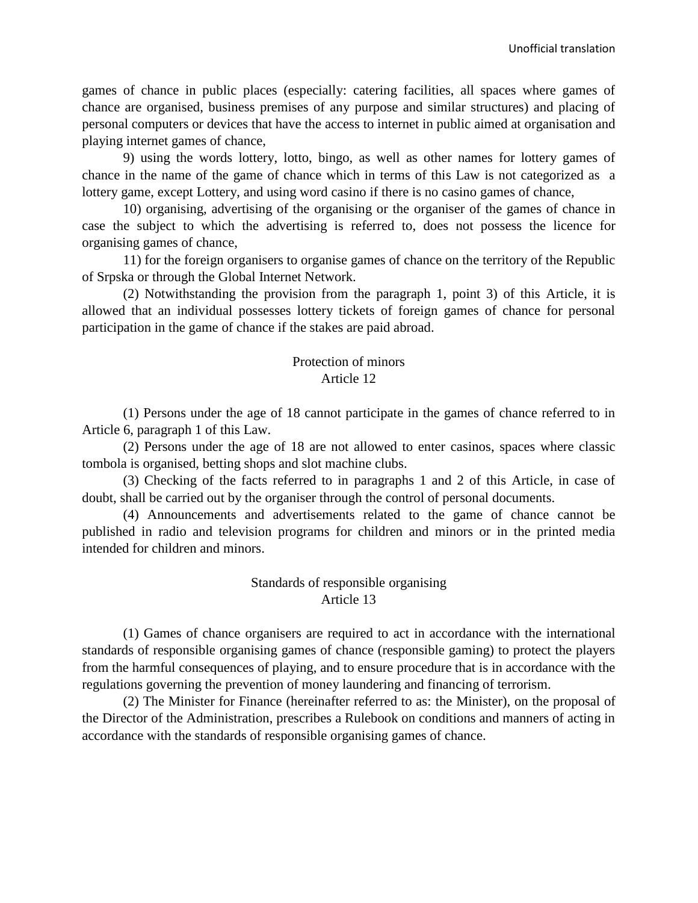games of chance in public places (especially: catering facilities, all spaces where games of chance are organised, business premises of any purpose and similar structures) and placing of personal computers or devices that have the access to internet in public aimed at organisation and playing internet games of chance,

9) using the words lottery, lotto, bingo, as well as other names for lottery games of chance in the name of the game of chance which in terms of this Law is not categorized as a lottery game, except Lottery, and using word casino if there is no casino games of chance,

10) organising, advertising of the organising or the organiser of the games of chance in case the subject to which the advertising is referred to, does not possess the licence for organising games of chance,

11) for the foreign organisers to organise games of chance on the territory of the Republic of Srpska or through the Global Internet Network.

(2) Notwithstanding the provision from the paragraph 1, point 3) of this Article, it is allowed that an individual possesses lottery tickets of foreign games of chance for personal participation in the game of chance if the stakes are paid abroad.

#### Protection of minors Article 12

(1) Persons under the age of 18 cannot participate in the games of chance referred to in Article 6, paragraph 1 of this Law.

(2) Persons under the age of 18 are not allowed to enter casinos, spaces where classic tombola is organised, betting shops and slot machine clubs.

(3) Checking of the facts referred to in paragraphs 1 and 2 of this Article, in case of doubt, shall be carried out by the organiser through the control of personal documents.

(4) Announcements and advertisements related to the game of chance cannot be published in radio and television programs for children and minors or in the printed media intended for children and minors.

## Standards of responsible organising Article 13

(1) Games of chance organisers are required to act in accordance with the international standards of responsible organising games of chance (responsible gaming) to protect the players from the harmful consequences of playing, and to ensure procedure that is in accordance with the regulations governing the prevention of money laundering and financing of terrorism.

(2) The Minister for Finance (hereinafter referred to as: the Minister), on the proposal of the Director of the Administration, prescribes a Rulebook on conditions and manners of acting in accordance with the standards of responsible organising games of chance.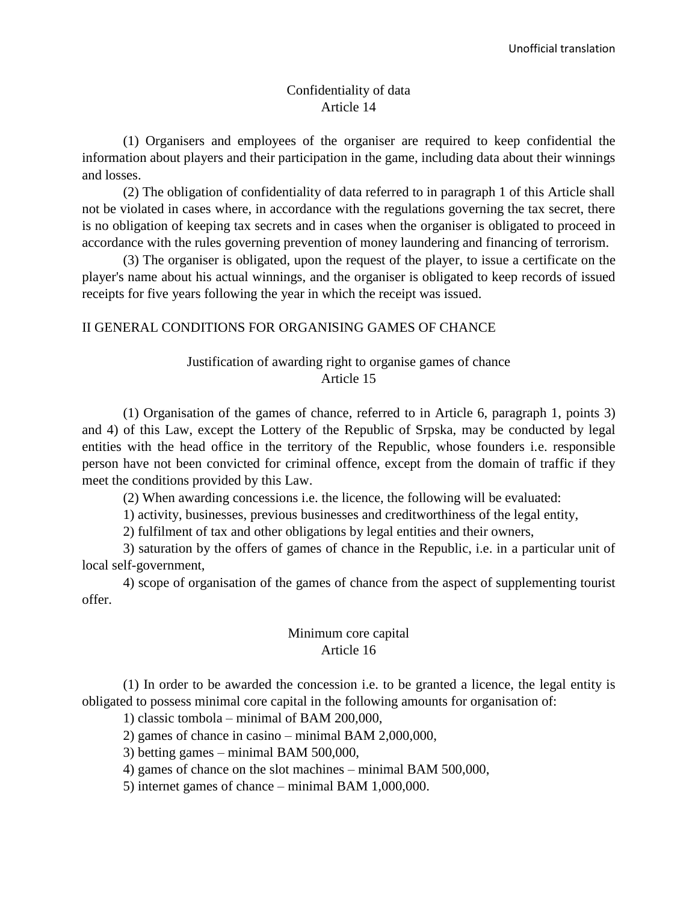#### Confidentiality of data Article 14

(1) Organisers and employees of the organiser are required to keep confidential the information about players and their participation in the game, including data about their winnings and losses.

(2) The obligation of confidentiality of data referred to in paragraph 1 of this Article shall not be violated in cases where, in accordance with the regulations governing the tax secret, there is no obligation of keeping tax secrets and in cases when the organiser is obligated to proceed in accordance with the rules governing prevention of money laundering and financing of terrorism.

(3) The organiser is obligated, upon the request of the player, to issue a certificate on the player's name about his actual winnings, and the organiser is obligated to keep records of issued receipts for five years following the year in which the receipt was issued.

#### II GENERAL CONDITIONS FOR ORGANISING GAMES OF CHANCE

# Justification of awarding right to organise games of chance Article 15

(1) Organisation of the games of chance, referred to in Article 6, paragraph 1, points 3) and 4) of this Law, except the Lottery of the Republic of Srpska, may be conducted by legal entities with the head office in the territory of the Republic, whose founders i.e. responsible person have not been convicted for criminal offence, except from the domain of traffic if they meet the conditions provided by this Law.

(2) When awarding concessions i.e. the licence, the following will be evaluated:

1) activity, businesses, previous businesses and creditworthiness of the legal entity,

2) fulfilment of tax and other obligations by legal entities and their owners,

3) saturation by the offers of games of chance in the Republic, i.e. in a particular unit of local self-government,

4) scope of organisation of the games of chance from the aspect of supplementing tourist offer.

## Minimum core capital Article 16

(1) In order to be awarded the concession i.e. to be granted a licence, the legal entity is obligated to possess minimal core capital in the following amounts for organisation of:

1) classic tombola – minimal of BAM 200,000,

2) games of chance in casino – minimal BAM 2,000,000,

3) betting games – minimal BAM 500,000,

4) games of chance on the slot machines – minimal BAM 500,000,

5) internet games of chance – minimal BAM 1,000,000.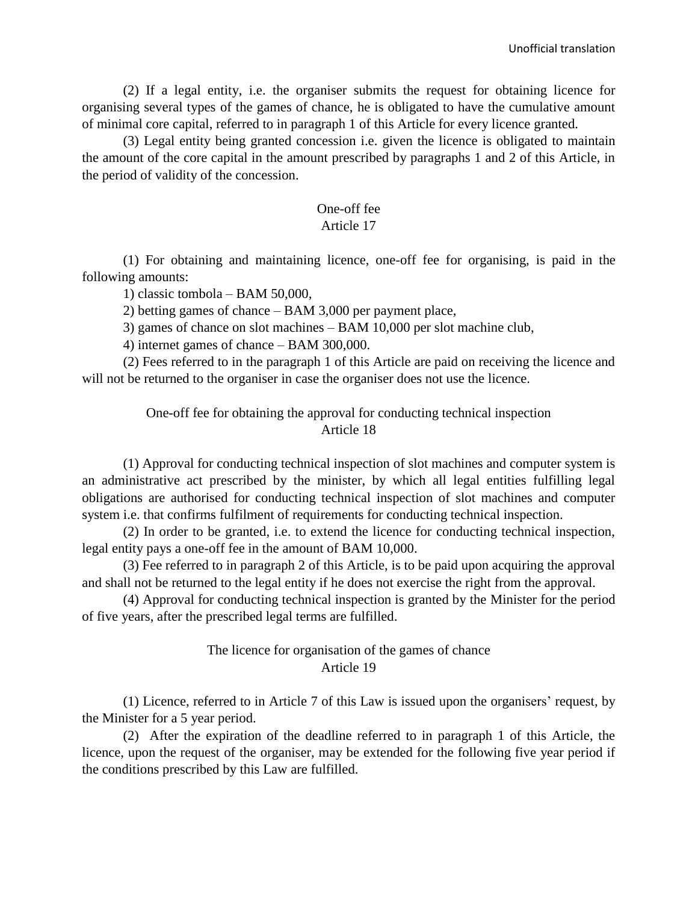(2) If a legal entity, i.e. the organiser submits the request for obtaining licence for organising several types of the games of chance, he is obligated to have the cumulative amount of minimal core capital, referred to in paragraph 1 of this Article for every licence granted.

(3) Legal entity being granted concession i.e. given the licence is obligated to maintain the amount of the core capital in the amount prescribed by paragraphs 1 and 2 of this Article, in the period of validity of the concession.

#### One-off fee Article 17

## (1) For obtaining and maintaining licence, one-off fee for organising, is paid in the following amounts:

1) classic tombola – BAM 50,000,

2) betting games of chance – BAM 3,000 per payment place,

3) games of chance on slot machines – BAM 10,000 per slot machine club,

4) internet games of chance – BAM 300,000.

(2) Fees referred to in the paragraph 1 of this Article are paid on receiving the licence and will not be returned to the organiser in case the organiser does not use the licence.

## One-off fee for obtaining the approval for conducting technical inspection Article 18

(1) Approval for conducting technical inspection of slot machines and computer system is an administrative act prescribed by the minister, by which all legal entities fulfilling legal obligations are authorised for conducting technical inspection of slot machines and computer system i.e. that confirms fulfilment of requirements for conducting technical inspection.

(2) In order to be granted, i.e. to extend the licence for conducting technical inspection, legal entity pays a one-off fee in the amount of BAM 10,000.

(3) Fee referred to in paragraph 2 of this Article, is to be paid upon acquiring the approval and shall not be returned to the legal entity if he does not exercise the right from the approval.

(4) Approval for conducting technical inspection is granted by the Minister for the period of five years, after the prescribed legal terms are fulfilled.

# The licence for organisation of the games of chance Article 19

(1) Licence, referred to in Article 7 of this Law is issued upon the organisers' request, by the Minister for a 5 year period.

(2) After the expiration of the deadline referred to in paragraph 1 of this Article, the licence, upon the request of the organiser, may be extended for the following five year period if the conditions prescribed by this Law are fulfilled.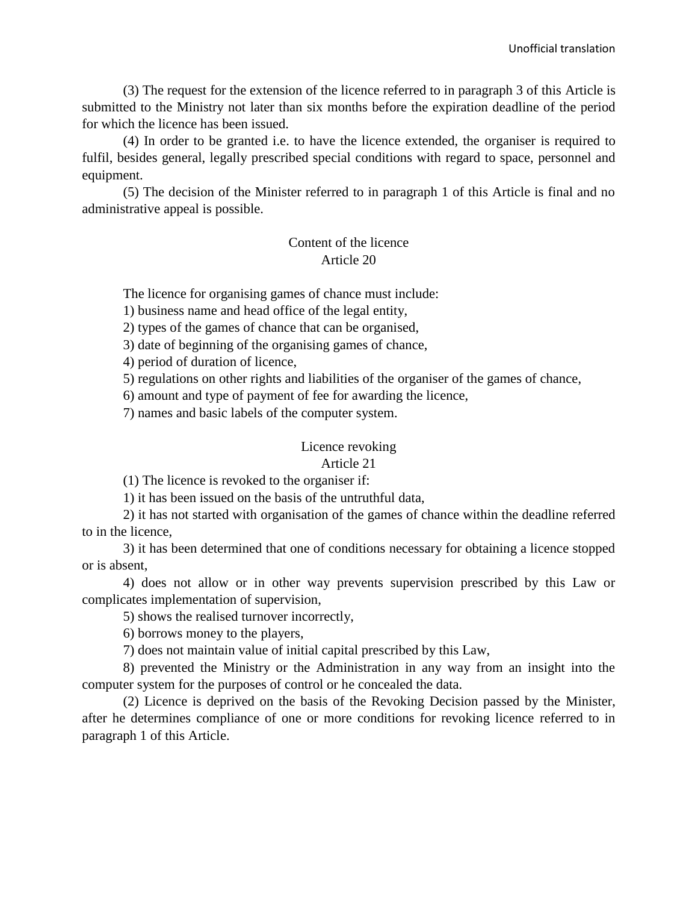(3) The request for the extension of the licence referred to in paragraph 3 of this Article is submitted to the Ministry not later than six months before the expiration deadline of the period for which the licence has been issued.

(4) In order to be granted i.e. to have the licence extended, the organiser is required to fulfil, besides general, legally prescribed special conditions with regard to space, personnel and equipment.

(5) The decision of the Minister referred to in paragraph 1 of this Article is final and no administrative appeal is possible.

# Content of the licence Article 20

The licence for organising games of chance must include:

1) business name and head office of the legal entity,

2) types of the games of chance that can be organised,

3) date of beginning of the organising games of chance,

4) period of duration of licence,

5) regulations on other rights and liabilities of the organiser of the games of chance,

6) amount and type of payment of fee for awarding the licence,

7) names and basic labels of the computer system.

# Licence revoking

## Article 21

(1) The licence is revoked to the organiser if:

1) it has been issued on the basis of the untruthful data,

2) it has not started with organisation of the games of chance within the deadline referred to in the licence,

3) it has been determined that one of conditions necessary for obtaining a licence stopped or is absent,

4) does not allow or in other way prevents supervision prescribed by this Law or complicates implementation of supervision,

5) shows the realised turnover incorrectly,

6) borrows money to the players,

7) does not maintain value of initial capital prescribed by this Law,

8) prevented the Ministry or the Administration in any way from an insight into the computer system for the purposes of control or he concealed the data.

(2) Licence is deprived on the basis of the Revoking Decision passed by the Minister, after he determines compliance of one or more conditions for revoking licence referred to in paragraph 1 of this Article.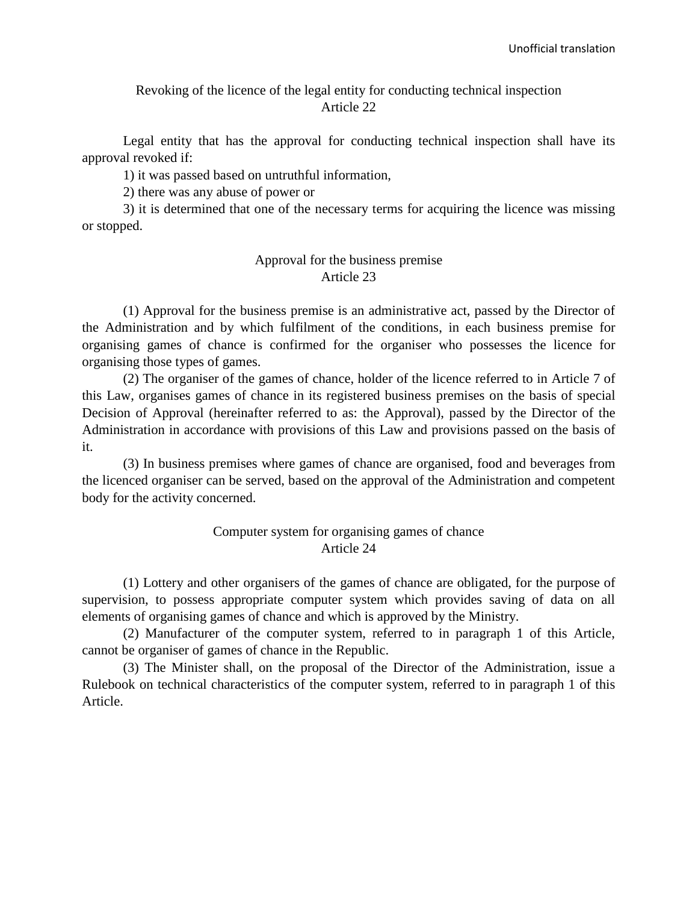#### Revoking of the licence of the legal entity for conducting technical inspection Article 22

Legal entity that has the approval for conducting technical inspection shall have its approval revoked if:

1) it was passed based on untruthful information,

2) there was any abuse of power or

3) it is determined that one of the necessary terms for acquiring the licence was missing or stopped.

#### Approval for the business premise Article 23

(1) Approval for the business premise is an administrative act, passed by the Director of the Administration and by which fulfilment of the conditions, in each business premise for organising games of chance is confirmed for the organiser who possesses the licence for organising those types of games.

(2) The organiser of the games of chance, holder of the licence referred to in Article 7 of this Law, organises games of chance in its registered business premises on the basis of special Decision of Approval (hereinafter referred to as: the Approval), passed by the Director of the Administration in accordance with provisions of this Law and provisions passed on the basis of it.

(3) In business premises where games of chance are organised, food and beverages from the licenced organiser can be served, based on the approval of the Administration and competent body for the activity concerned.

#### Computer system for organising games of chance Article 24

(1) Lottery and other organisers of the games of chance are obligated, for the purpose of supervision, to possess appropriate computer system which provides saving of data on all elements of organising games of chance and which is approved by the Ministry.

(2) Manufacturer of the computer system, referred to in paragraph 1 of this Article, cannot be organiser of games of chance in the Republic.

(3) The Minister shall, on the proposal of the Director of the Administration, issue a Rulebook on technical characteristics of the computer system, referred to in paragraph 1 of this Article.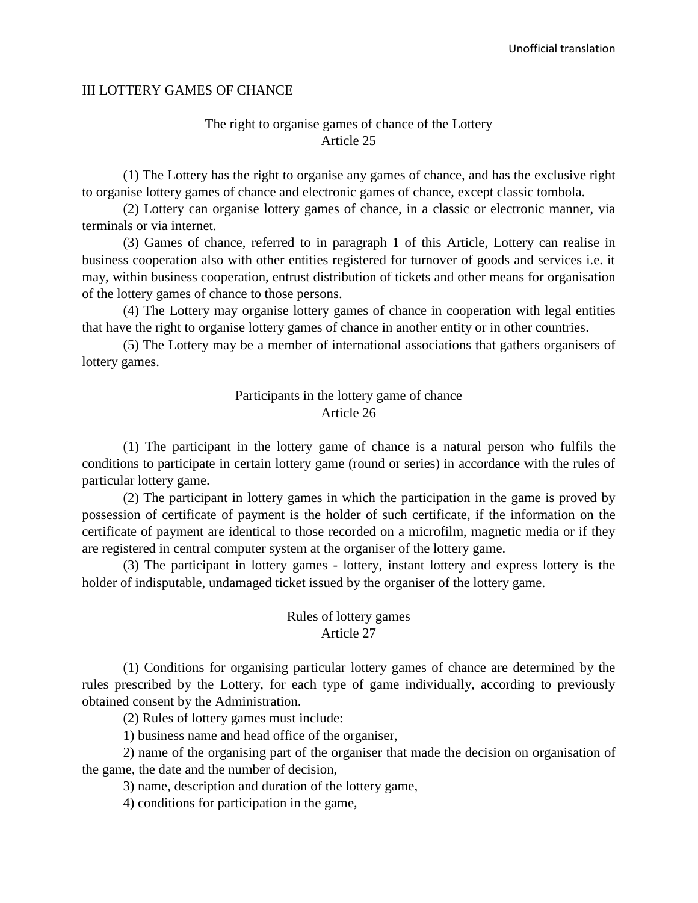#### III LOTTERY GAMES OF CHANCE

#### The right to organise games of chance of the Lottery Article 25

(1) The Lottery has the right to organise any games of chance, and has the exclusive right to organise lottery games of chance and electronic games of chance, except classic tombola.

(2) Lottery can organise lottery games of chance, in a classic or electronic manner, via terminals or via internet.

(3) Games of chance, referred to in paragraph 1 of this Article, Lottery can realise in business cooperation also with other entities registered for turnover of goods and services i.e. it may, within business cooperation, entrust distribution of tickets and other means for organisation of the lottery games of chance to those persons.

(4) The Lottery may organise lottery games of chance in cooperation with legal entities that have the right to organise lottery games of chance in another entity or in other countries.

(5) The Lottery may be a member of international associations that gathers organisers of lottery games.

#### Participants in the lottery game of chance Article 26

(1) The participant in the lottery game of chance is a natural person who fulfils the conditions to participate in certain lottery game (round or series) in accordance with the rules of particular lottery game.

(2) The participant in lottery games in which the participation in the game is proved by possession of certificate of payment is the holder of such certificate, if the information on the certificate of payment are identical to those recorded on a microfilm, magnetic media or if they are registered in central computer system at the organiser of the lottery game.

(3) The participant in lottery games - lottery, instant lottery and express lottery is the holder of indisputable, undamaged ticket issued by the organiser of the lottery game.

## Rules of lottery games Article 27

(1) Conditions for organising particular lottery games of chance are determined by the rules prescribed by the Lottery, for each type of game individually, according to previously obtained consent by the Administration.

(2) Rules of lottery games must include:

1) business name and head office of the organiser,

2) name of the organising part of the organiser that made the decision on organisation of the game, the date and the number of decision,

3) name, description and duration of the lottery game,

4) conditions for participation in the game,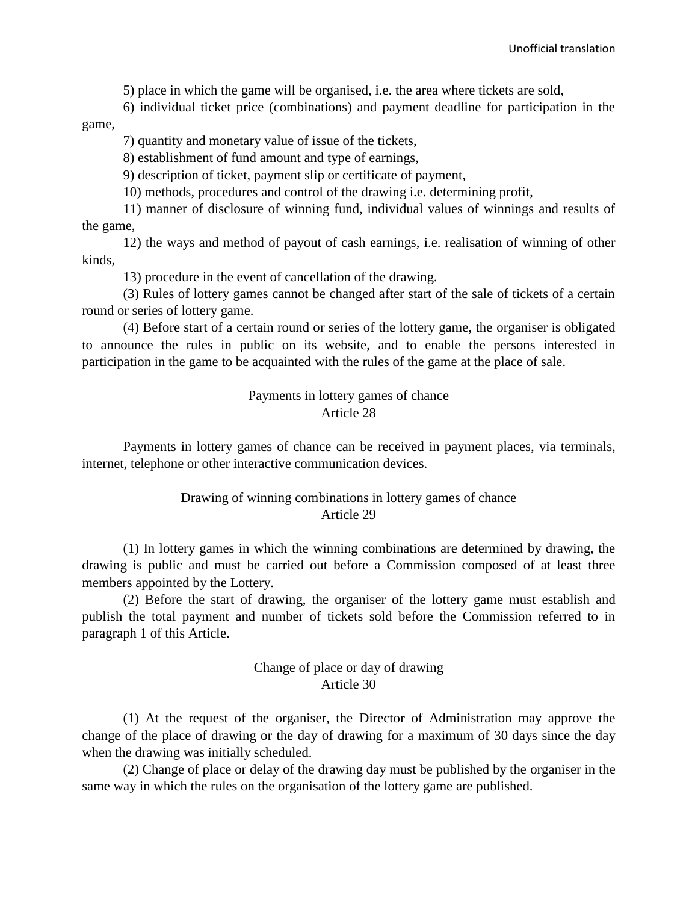5) place in which the game will be organised, i.e. the area where tickets are sold,

6) individual ticket price (combinations) and payment deadline for participation in the game,

7) quantity and monetary value of issue of the tickets,

8) establishment of fund amount and type of earnings,

9) description of ticket, payment slip or certificate of payment,

10) methods, procedures and control of the drawing i.e. determining profit,

11) manner of disclosure of winning fund, individual values of winnings and results of the game,

12) the ways and method of payout of cash earnings, i.e. realisation of winning of other kinds,

13) procedure in the event of cancellation of the drawing.

(3) Rules of lottery games cannot be changed after start of the sale of tickets of a certain round or series of lottery game.

(4) Before start of a certain round or series of the lottery game, the organiser is obligated to announce the rules in public on its website, and to enable the persons interested in participation in the game to be acquainted with the rules of the game at the place of sale.

## Payments in lottery games of chance Article 28

Payments in lottery games of chance can be received in payment places, via terminals, internet, telephone or other interactive communication devices.

# Drawing of winning combinations in lottery games of chance Article 29

(1) In lottery games in which the winning combinations are determined by drawing, the drawing is public and must be carried out before a Commission composed of at least three members appointed by the Lottery.

(2) Before the start of drawing, the organiser of the lottery game must establish and publish the total payment and number of tickets sold before the Commission referred to in paragraph 1 of this Article.

# Change of place or day of drawing Article 30

(1) At the request of the organiser, the Director of Administration may approve the change of the place of drawing or the day of drawing for a maximum of 30 days since the day when the drawing was initially scheduled.

(2) Change of place or delay of the drawing day must be published by the organiser in the same way in which the rules on the organisation of the lottery game are published.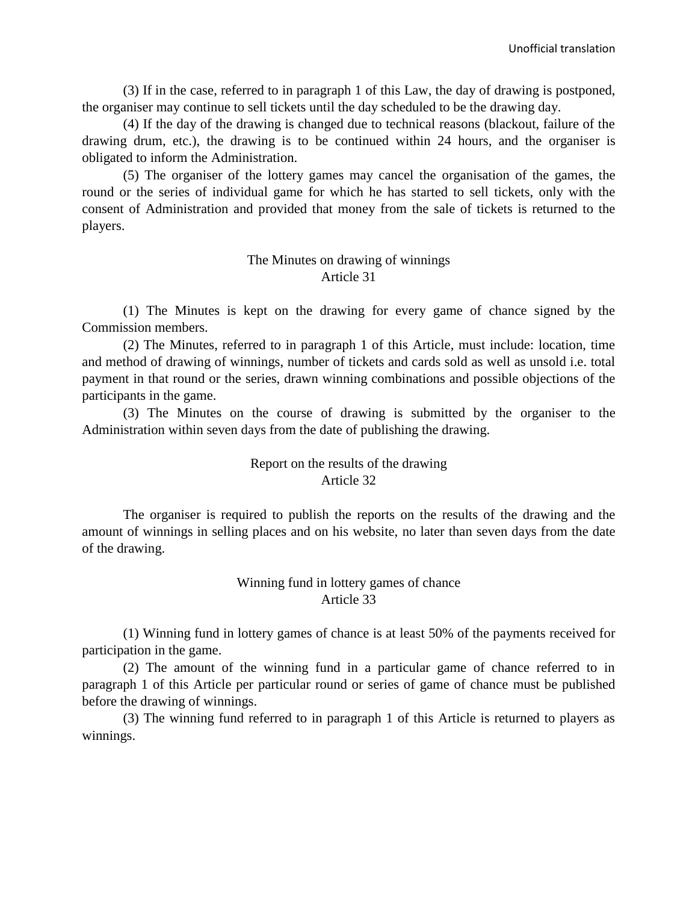(3) If in the case, referred to in paragraph 1 of this Law, the day of drawing is postponed, the organiser may continue to sell tickets until the day scheduled to be the drawing day.

(4) If the day of the drawing is changed due to technical reasons (blackout, failure of the drawing drum, etc.), the drawing is to be continued within 24 hours, and the organiser is obligated to inform the Administration.

(5) The organiser of the lottery games may cancel the organisation of the games, the round or the series of individual game for which he has started to sell tickets, only with the consent of Administration and provided that money from the sale of tickets is returned to the players.

#### The Minutes on drawing of winnings Article 31

(1) The Minutes is kept on the drawing for every game of chance signed by the Commission members.

(2) The Minutes, referred to in paragraph 1 of this Article, must include: location, time and method of drawing of winnings, number of tickets and cards sold as well as unsold i.e. total payment in that round or the series, drawn winning combinations and possible objections of the participants in the game.

(3) The Minutes on the course of drawing is submitted by the organiser to the Administration within seven days from the date of publishing the drawing.

## Report on the results of the drawing Article 32

The organiser is required to publish the reports on the results of the drawing and the amount of winnings in selling places and on his website, no later than seven days from the date of the drawing.

# Winning fund in lottery games of chance Article 33

(1) Winning fund in lottery games of chance is at least 50% of the payments received for participation in the game.

(2) The amount of the winning fund in a particular game of chance referred to in paragraph 1 of this Article per particular round or series of game of chance must be published before the drawing of winnings.

(3) The winning fund referred to in paragraph 1 of this Article is returned to players as winnings.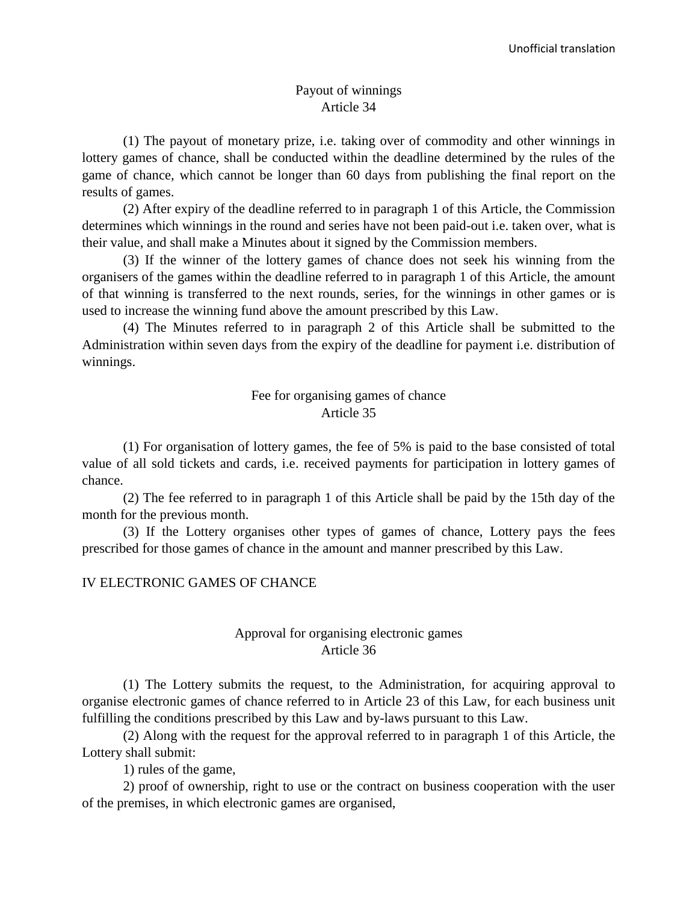#### Payout of winnings Article 34

(1) The payout of monetary prize, i.e. taking over of commodity and other winnings in lottery games of chance, shall be conducted within the deadline determined by the rules of the game of chance, which cannot be longer than 60 days from publishing the final report on the results of games.

(2) After expiry of the deadline referred to in paragraph 1 of this Article, the Commission determines which winnings in the round and series have not been paid-out i.e. taken over, what is their value, and shall make a Minutes about it signed by the Commission members.

(3) If the winner of the lottery games of chance does not seek his winning from the organisers of the games within the deadline referred to in paragraph 1 of this Article, the amount of that winning is transferred to the next rounds, series, for the winnings in other games or is used to increase the winning fund above the amount prescribed by this Law.

(4) The Minutes referred to in paragraph 2 of this Article shall be submitted to the Administration within seven days from the expiry of the deadline for payment i.e. distribution of winnings.

# Fee for organising games of chance Article 35

(1) For organisation of lottery games, the fee of 5% is paid to the base consisted of total value of all sold tickets and cards, i.e. received payments for participation in lottery games of chance.

(2) The fee referred to in paragraph 1 of this Article shall be paid by the 15th day of the month for the previous month.

(3) If the Lottery organises other types of games of chance, Lottery pays the fees prescribed for those games of chance in the amount and manner prescribed by this Law.

## IV ELECTRONIC GAMES OF CHANCE

# Approval for organising electronic games Article 36

(1) The Lottery submits the request, to the Administration, for acquiring approval to organise electronic games of chance referred to in Article 23 of this Law, for each business unit fulfilling the conditions prescribed by this Law and by-laws pursuant to this Law.

(2) Along with the request for the approval referred to in paragraph 1 of this Article, the Lottery shall submit:

1) rules of the game,

2) proof of ownership, right to use or the contract on business cooperation with the user of the premises, in which electronic games are organised,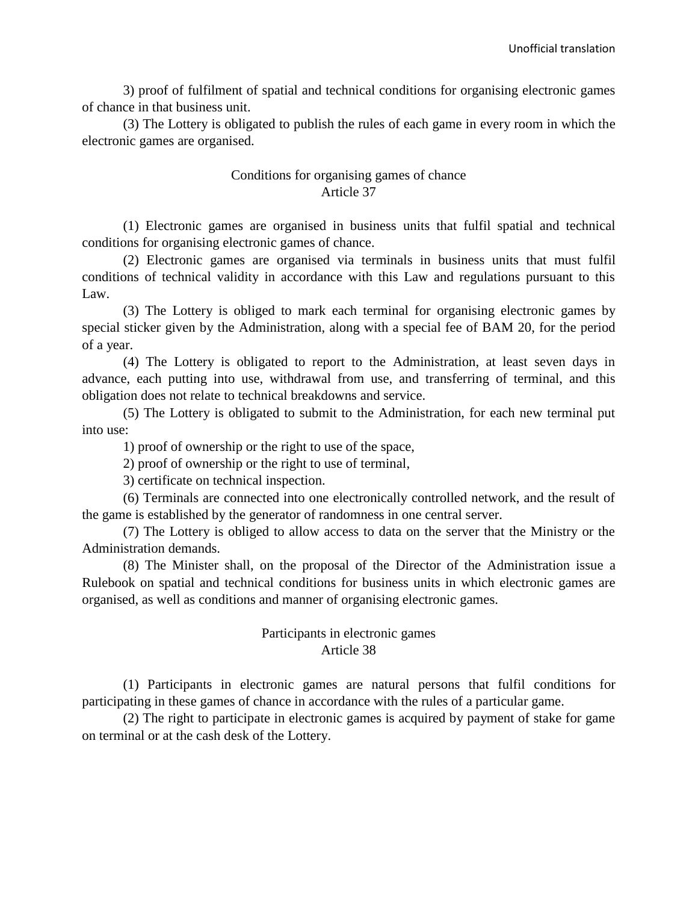3) proof of fulfilment of spatial and technical conditions for organising electronic games of chance in that business unit.

(3) The Lottery is obligated to publish the rules of each game in every room in which the electronic games are organised.

# Conditions for organising games of chance Article 37

(1) Electronic games are organised in business units that fulfil spatial and technical conditions for organising electronic games of chance.

(2) Electronic games are organised via terminals in business units that must fulfil conditions of technical validity in accordance with this Law and regulations pursuant to this Law.

(3) The Lottery is obliged to mark each terminal for organising electronic games by special sticker given by the Administration, along with a special fee of BAM 20, for the period of a year.

(4) The Lottery is obligated to report to the Administration, at least seven days in advance, each putting into use, withdrawal from use, and transferring of terminal, and this obligation does not relate to technical breakdowns and service.

(5) The Lottery is obligated to submit to the Administration, for each new terminal put into use:

1) proof of ownership or the right to use of the space,

2) proof of ownership or the right to use of terminal,

3) certificate on technical inspection.

(6) Terminals are connected into one electronically controlled network, and the result of the game is established by the generator of randomness in one central server.

(7) The Lottery is obliged to allow access to data on the server that the Ministry or the Administration demands.

(8) The Minister shall, on the proposal of the Director of the Administration issue a Rulebook on spatial and technical conditions for business units in which electronic games are organised, as well as conditions and manner of organising electronic games.

## Participants in electronic games Article 38

(1) Participants in electronic games are natural persons that fulfil conditions for participating in these games of chance in accordance with the rules of a particular game.

(2) The right to participate in electronic games is acquired by payment of stake for game on terminal or at the cash desk of the Lottery.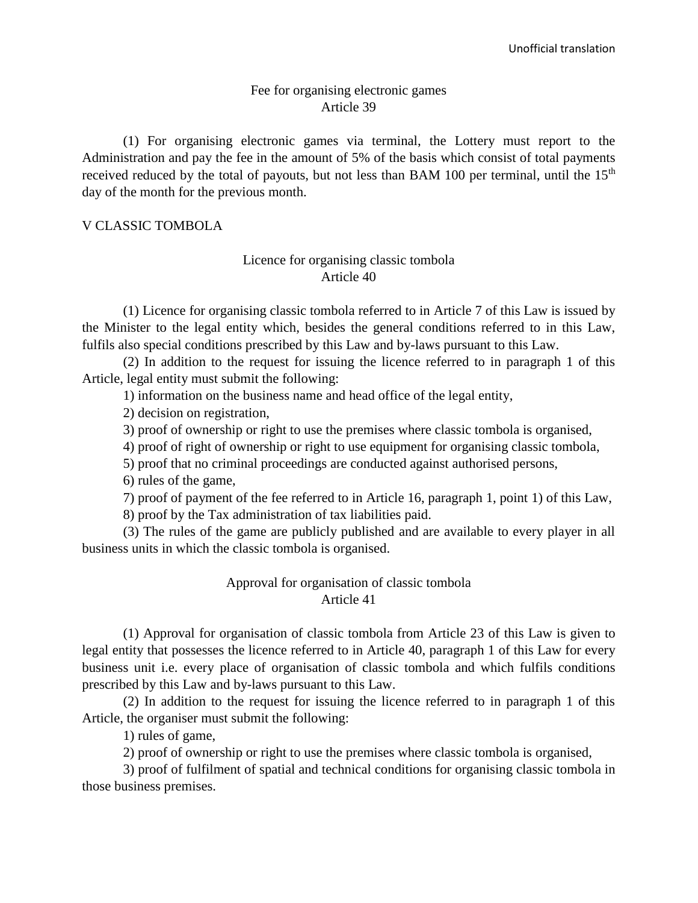#### Fee for organising electronic games Article 39

(1) For organising electronic games via terminal, the Lottery must report to the Administration and pay the fee in the amount of 5% of the basis which consist of total payments received reduced by the total of payouts, but not less than BAM 100 per terminal, until the 15<sup>th</sup> day of the month for the previous month.

#### V CLASSIC TOMBOLA

#### Licence for organising classic tombola Article 40

(1) Licence for organising classic tombola referred to in Article 7 of this Law is issued by the Minister to the legal entity which, besides the general conditions referred to in this Law, fulfils also special conditions prescribed by this Law and by-laws pursuant to this Law.

(2) In addition to the request for issuing the licence referred to in paragraph 1 of this Article, legal entity must submit the following:

1) information on the business name and head office of the legal entity,

2) decision on registration,

3) proof of ownership or right to use the premises where classic tombola is organised,

4) proof of right of ownership or right to use equipment for organising classic tombola,

5) proof that no criminal proceedings are conducted against authorised persons,

6) rules of the game,

7) proof of payment of the fee referred to in Article 16, paragraph 1, point 1) of this Law,

8) proof by the Tax administration of tax liabilities paid.

(3) The rules of the game are publicly published and are available to every player in all business units in which the classic tombola is organised.

## Approval for organisation of classic tombola Article 41

(1) Approval for organisation of classic tombola from Article 23 of this Law is given to legal entity that possesses the licence referred to in Article 40, paragraph 1 of this Law for every business unit i.e. every place of organisation of classic tombola and which fulfils conditions prescribed by this Law and by-laws pursuant to this Law.

(2) In addition to the request for issuing the licence referred to in paragraph 1 of this Article, the organiser must submit the following:

1) rules of game,

2) proof of ownership or right to use the premises where classic tombola is organised,

3) proof of fulfilment of spatial and technical conditions for organising classic tombola in those business premises.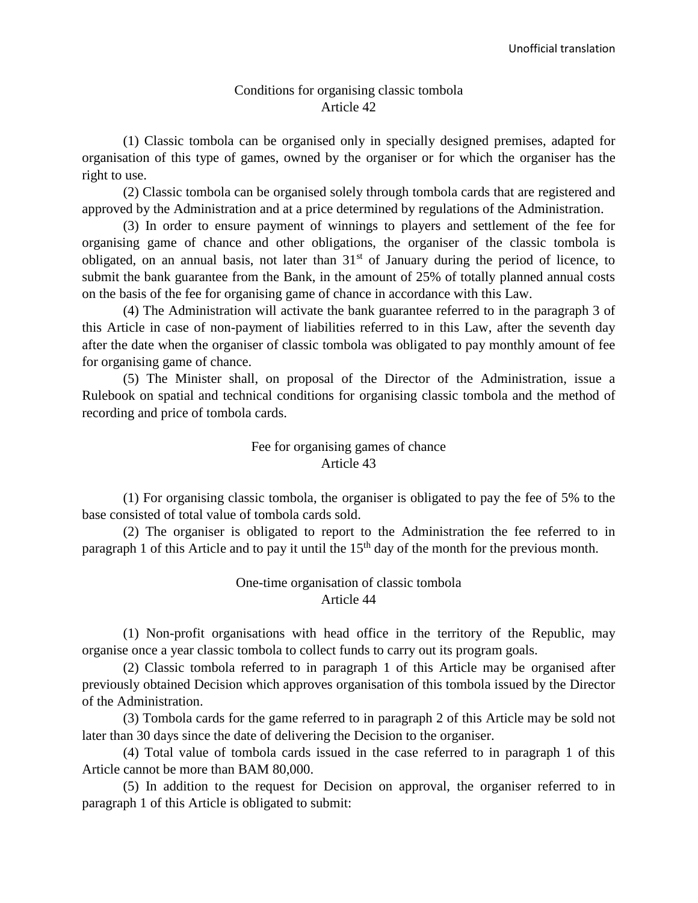#### Conditions for organising classic tombola Article 42

(1) Classic tombola can be organised only in specially designed premises, adapted for organisation of this type of games, owned by the organiser or for which the organiser has the right to use.

(2) Classic tombola can be organised solely through tombola cards that are registered and approved by the Administration and at a price determined by regulations of the Administration.

(3) In order to ensure payment of winnings to players and settlement of the fee for organising game of chance and other obligations, the organiser of the classic tombola is obligated, on an annual basis, not later than  $31<sup>st</sup>$  of January during the period of licence, to submit the bank guarantee from the Bank, in the amount of 25% of totally planned annual costs on the basis of the fee for organising game of chance in accordance with this Law.

(4) The Administration will activate the bank guarantee referred to in the paragraph 3 of this Article in case of non-payment of liabilities referred to in this Law, after the seventh day after the date when the organiser of classic tombola was obligated to pay monthly amount of fee for organising game of chance.

(5) The Minister shall, on proposal of the Director of the Administration, issue a Rulebook on spatial and technical conditions for organising classic tombola and the method of recording and price of tombola cards.

#### Fee for organising games of chance Article 43

(1) For organising classic tombola, the organiser is obligated to pay the fee of 5% to the base consisted of total value of tombola cards sold.

(2) The organiser is obligated to report to the Administration the fee referred to in paragraph 1 of this Article and to pay it until the  $15<sup>th</sup>$  day of the month for the previous month.

# One-time organisation of classic tombola Article 44

(1) Non-profit organisations with head office in the territory of the Republic, may organise once a year classic tombola to collect funds to carry out its program goals.

(2) Classic tombola referred to in paragraph 1 of this Article may be organised after previously obtained Decision which approves organisation of this tombola issued by the Director of the Administration.

(3) Tombola cards for the game referred to in paragraph 2 of this Article may be sold not later than 30 days since the date of delivering the Decision to the organiser.

(4) Total value of tombola cards issued in the case referred to in paragraph 1 of this Article cannot be more than BAM 80,000.

(5) In addition to the request for Decision on approval, the organiser referred to in paragraph 1 of this Article is obligated to submit: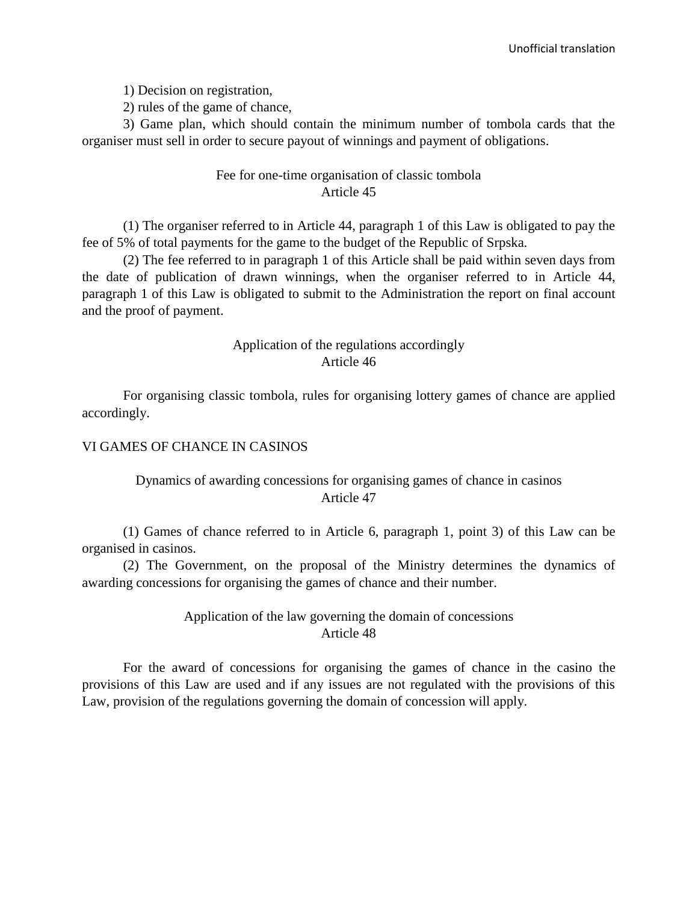1) Decision on registration,

2) rules of the game of chance,

3) Game plan, which should contain the minimum number of tombola cards that the organiser must sell in order to secure payout of winnings and payment of obligations.

## Fee for one-time organisation of classic tombola Article 45

(1) The organiser referred to in Article 44, paragraph 1 of this Law is obligated to pay the fee of 5% of total payments for the game to the budget of the Republic of Srpska.

(2) The fee referred to in paragraph 1 of this Article shall be paid within seven days from the date of publication of drawn winnings, when the organiser referred to in Article 44, paragraph 1 of this Law is obligated to submit to the Administration the report on final account and the proof of payment.

## Application of the regulations accordingly Article 46

For organising classic tombola, rules for organising lottery games of chance are applied accordingly.

#### VI GAMES OF CHANCE IN CASINOS

# Dynamics of awarding concessions for organising games of chance in casinos Article 47

(1) Games of chance referred to in Article 6, paragraph 1, point 3) of this Law can be organised in casinos.

(2) The Government, on the proposal of the Ministry determines the dynamics of awarding concessions for organising the games of chance and their number.

# Application of the law governing the domain of concessions Article 48

For the award of concessions for organising the games of chance in the casino the provisions of this Law are used and if any issues are not regulated with the provisions of this Law, provision of the regulations governing the domain of concession will apply.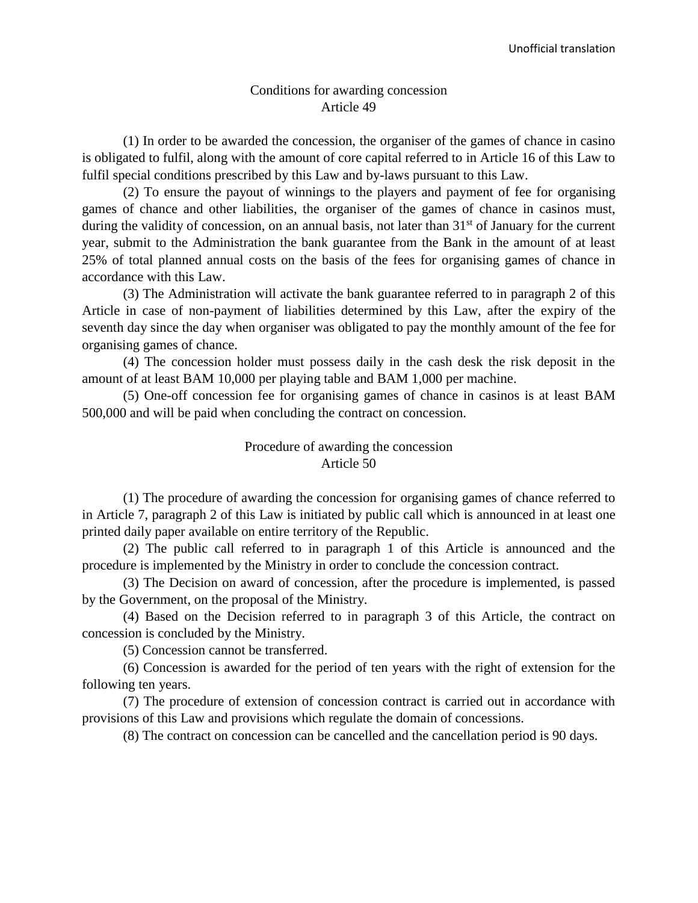#### Conditions for awarding concession Article 49

(1) In order to be awarded the concession, the organiser of the games of chance in casino is obligated to fulfil, along with the amount of core capital referred to in Article 16 of this Law to fulfil special conditions prescribed by this Law and by-laws pursuant to this Law.

(2) To ensure the payout of winnings to the players and payment of fee for organising games of chance and other liabilities, the organiser of the games of chance in casinos must, during the validity of concession, on an annual basis, not later than 31<sup>st</sup> of January for the current year, submit to the Administration the bank guarantee from the Bank in the amount of at least 25% of total planned annual costs on the basis of the fees for organising games of chance in accordance with this Law.

(3) The Administration will activate the bank guarantee referred to in paragraph 2 of this Article in case of non-payment of liabilities determined by this Law, after the expiry of the seventh day since the day when organiser was obligated to pay the monthly amount of the fee for organising games of chance.

(4) The concession holder must possess daily in the cash desk the risk deposit in the amount of at least BAM 10,000 per playing table and BAM 1,000 per machine.

(5) One-off concession fee for organising games of chance in casinos is at least BAM 500,000 and will be paid when concluding the contract on concession.

#### Procedure of awarding the concession Article 50

(1) The procedure of awarding the concession for organising games of chance referred to in Article 7, paragraph 2 of this Law is initiated by public call which is announced in at least one printed daily paper available on entire territory of the Republic.

(2) The public call referred to in paragraph 1 of this Article is announced and the procedure is implemented by the Ministry in order to conclude the concession contract.

(3) The Decision on award of concession, after the procedure is implemented, is passed by the Government, on the proposal of the Ministry.

(4) Based on the Decision referred to in paragraph 3 of this Article, the contract on concession is concluded by the Ministry.

(5) Concession cannot be transferred.

(6) Concession is awarded for the period of ten years with the right of extension for the following ten years.

(7) The procedure of extension of concession contract is carried out in accordance with provisions of this Law and provisions which regulate the domain of concessions.

(8) The contract on concession can be cancelled and the cancellation period is 90 days.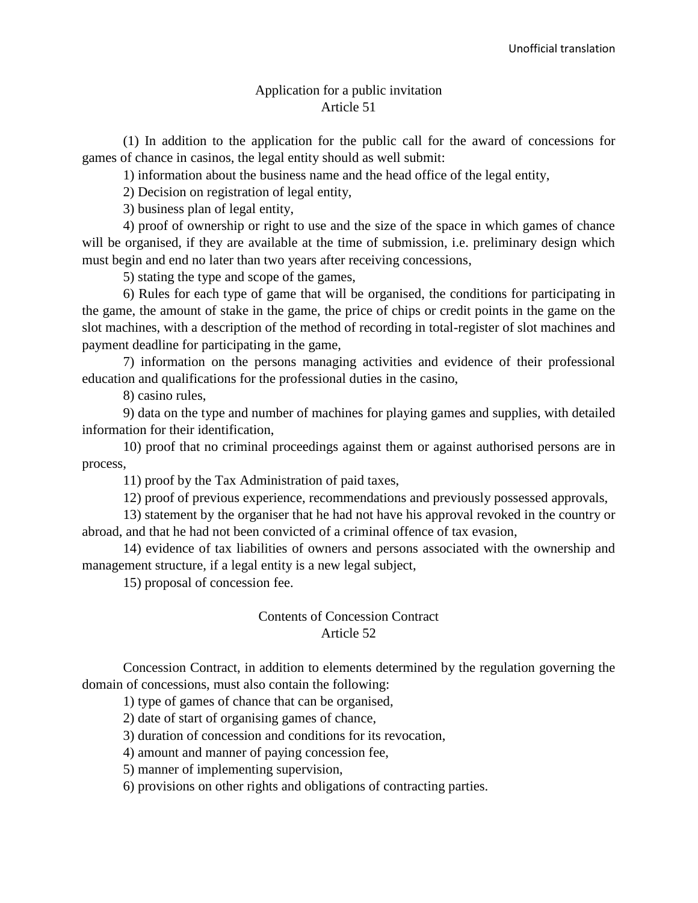#### Application for a public invitation Article 51

(1) In addition to the application for the public call for the award of concessions for games of chance in casinos, the legal entity should as well submit:

1) information about the business name and the head office of the legal entity,

2) Decision on registration of legal entity,

3) business plan of legal entity,

4) proof of ownership or right to use and the size of the space in which games of chance will be organised, if they are available at the time of submission, i.e. preliminary design which must begin and end no later than two years after receiving concessions,

5) stating the type and scope of the games,

6) Rules for each type of game that will be organised, the conditions for participating in the game, the amount of stake in the game, the price of chips or credit points in the game on the slot machines, with a description of the method of recording in total-register of slot machines and payment deadline for participating in the game,

7) information on the persons managing activities and evidence of their professional education and qualifications for the professional duties in the casino,

8) casino rules,

9) data on the type and number of machines for playing games and supplies, with detailed information for their identification,

10) proof that no criminal proceedings against them or against authorised persons are in process,

11) proof by the Tax Administration of paid taxes,

12) proof of previous experience, recommendations and previously possessed approvals,

13) statement by the organiser that he had not have his approval revoked in the country or abroad, and that he had not been convicted of a criminal offence of tax evasion,

14) evidence of tax liabilities of owners and persons associated with the ownership and management structure, if a legal entity is a new legal subject,

15) proposal of concession fee.

#### Contents of Concession Contract Article 52

Concession Contract, in addition to elements determined by the regulation governing the domain of concessions, must also contain the following:

1) type of games of chance that can be organised,

2) date of start of organising games of chance,

3) duration of concession and conditions for its revocation,

4) amount and manner of paying concession fee,

5) manner of implementing supervision,

6) provisions on other rights and obligations of contracting parties.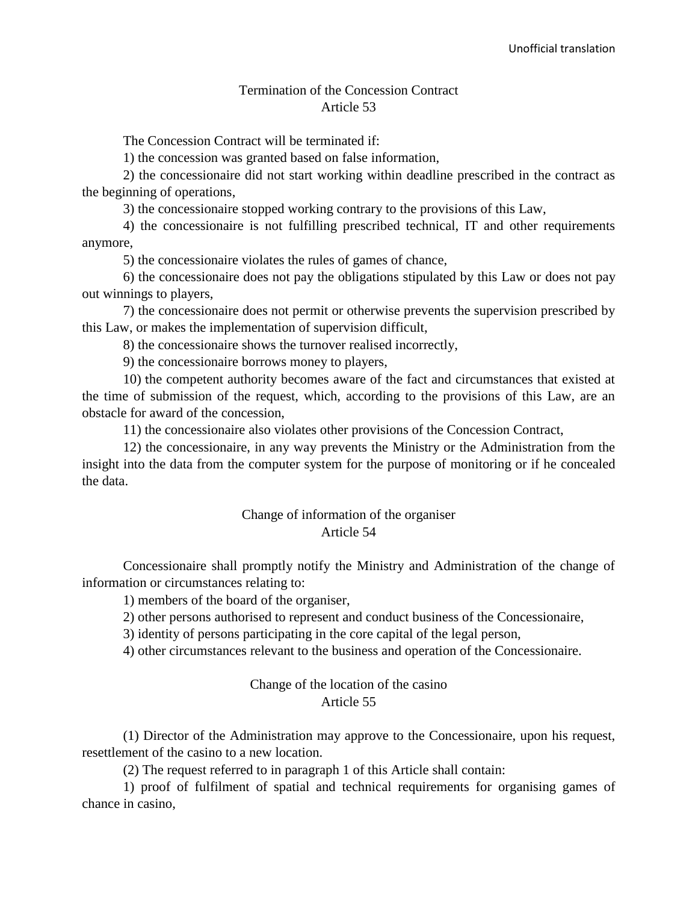#### Termination of the Concession Contract Article 53

The Concession Contract will be terminated if:

1) the concession was granted based on false information,

2) the concessionaire did not start working within deadline prescribed in the contract as the beginning of operations,

3) the concessionaire stopped working contrary to the provisions of this Law,

4) the concessionaire is not fulfilling prescribed technical, IT and other requirements anymore,

5) the concessionaire violates the rules of games of chance,

6) the concessionaire does not pay the obligations stipulated by this Law or does not pay out winnings to players,

7) the concessionaire does not permit or otherwise prevents the supervision prescribed by this Law, or makes the implementation of supervision difficult,

8) the concessionaire shows the turnover realised incorrectly,

9) the concessionaire borrows money to players,

10) the competent authority becomes aware of the fact and circumstances that existed at the time of submission of the request, which, according to the provisions of this Law, are an obstacle for award of the concession,

11) the concessionaire also violates other provisions of the Concession Contract,

12) the concessionaire, in any way prevents the Ministry or the Administration from the insight into the data from the computer system for the purpose of monitoring or if he concealed the data.

#### Change of information of the organiser Article 54

Concessionaire shall promptly notify the Ministry and Administration of the change of information or circumstances relating to:

1) members of the board of the organiser,

2) other persons authorised to represent and conduct business of the Concessionaire,

3) identity of persons participating in the core capital of the legal person,

4) other circumstances relevant to the business and operation of the Concessionaire.

#### Change of the location of the casino Article 55

(1) Director of the Administration may approve to the Concessionaire, upon his request, resettlement of the casino to a new location.

(2) The request referred to in paragraph 1 of this Article shall contain:

1) proof of fulfilment of spatial and technical requirements for organising games of chance in casino,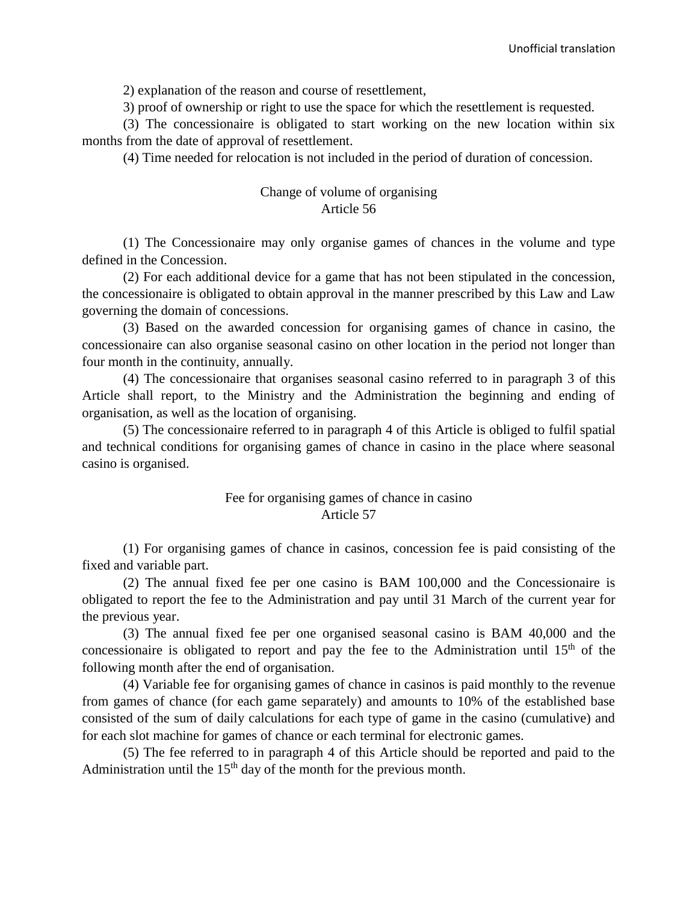2) explanation of the reason and course of resettlement,

3) proof of ownership or right to use the space for which the resettlement is requested.

(3) The concessionaire is obligated to start working on the new location within six months from the date of approval of resettlement.

(4) Time needed for relocation is not included in the period of duration of concession.

## Change of volume of organising Article 56

(1) The Concessionaire may only organise games of chances in the volume and type defined in the Concession.

(2) For each additional device for a game that has not been stipulated in the concession, the concessionaire is obligated to obtain approval in the manner prescribed by this Law and Law governing the domain of concessions.

(3) Based on the awarded concession for organising games of chance in casino, the concessionaire can also organise seasonal casino on other location in the period not longer than four month in the continuity, annually.

(4) The concessionaire that organises seasonal casino referred to in paragraph 3 of this Article shall report, to the Ministry and the Administration the beginning and ending of organisation, as well as the location of organising.

(5) The concessionaire referred to in paragraph 4 of this Article is obliged to fulfil spatial and technical conditions for organising games of chance in casino in the place where seasonal casino is organised.

#### Fee for organising games of chance in casino Article 57

(1) For organising games of chance in casinos, concession fee is paid consisting of the fixed and variable part.

(2) The annual fixed fee per one casino is BAM 100,000 and the Concessionaire is obligated to report the fee to the Administration and pay until 31 March of the current year for the previous year.

(3) The annual fixed fee per one organised seasonal casino is BAM 40,000 and the concessionaire is obligated to report and pay the fee to the Administration until  $15<sup>th</sup>$  of the following month after the end of organisation.

(4) Variable fee for organising games of chance in casinos is paid monthly to the revenue from games of chance (for each game separately) and amounts to 10% of the established base consisted of the sum of daily calculations for each type of game in the casino (cumulative) and for each slot machine for games of chance or each terminal for electronic games.

(5) The fee referred to in paragraph 4 of this Article should be reported and paid to the Administration until the  $15<sup>th</sup>$  day of the month for the previous month.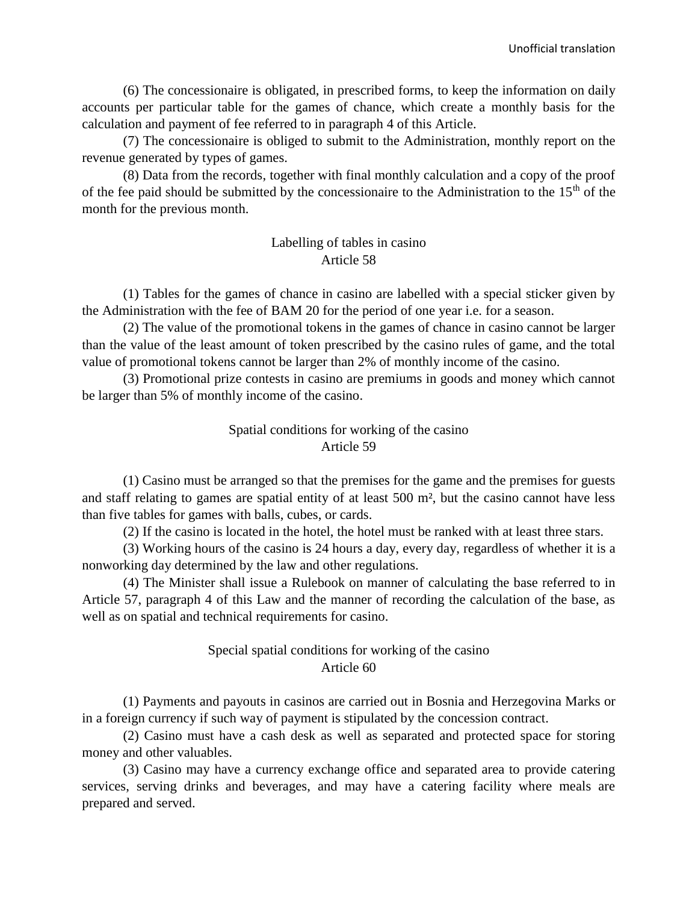(6) The concessionaire is obligated, in prescribed forms, to keep the information on daily accounts per particular table for the games of chance, which create a monthly basis for the calculation and payment of fee referred to in paragraph 4 of this Article.

(7) The concessionaire is obliged to submit to the Administration, monthly report on the revenue generated by types of games.

(8) Data from the records, together with final monthly calculation and a copy of the proof of the fee paid should be submitted by the concessionaire to the Administration to the  $15<sup>th</sup>$  of the month for the previous month.

# Labelling of tables in casino Article 58

(1) Tables for the games of chance in casino are labelled with a special sticker given by the Administration with the fee of BAM 20 for the period of one year i.e. for a season.

(2) The value of the promotional tokens in the games of chance in casino cannot be larger than the value of the least amount of token prescribed by the casino rules of game, and the total value of promotional tokens cannot be larger than 2% of monthly income of the casino.

(3) Promotional prize contests in casino are premiums in goods and money which cannot be larger than 5% of monthly income of the casino.

# Spatial conditions for working of the casino Article 59

(1) Casino must be arranged so that the premises for the game and the premises for guests and staff relating to games are spatial entity of at least 500 m², but the casino cannot have less than five tables for games with balls, cubes, or cards.

(2) If the casino is located in the hotel, the hotel must be ranked with at least three stars.

(3) Working hours of the casino is 24 hours a day, every day, regardless of whether it is a nonworking day determined by the law and other regulations.

(4) The Minister shall issue a Rulebook on manner of calculating the base referred to in Article 57, paragraph 4 of this Law and the manner of recording the calculation of the base, as well as on spatial and technical requirements for casino.

# Special spatial conditions for working of the casino Article 60

(1) Payments and payouts in casinos are carried out in Bosnia and Herzegovina Marks or in a foreign currency if such way of payment is stipulated by the concession contract.

(2) Casino must have a cash desk as well as separated and protected space for storing money and other valuables.

(3) Casino may have a currency exchange office and separated area to provide catering services, serving drinks and beverages, and may have a catering facility where meals are prepared and served.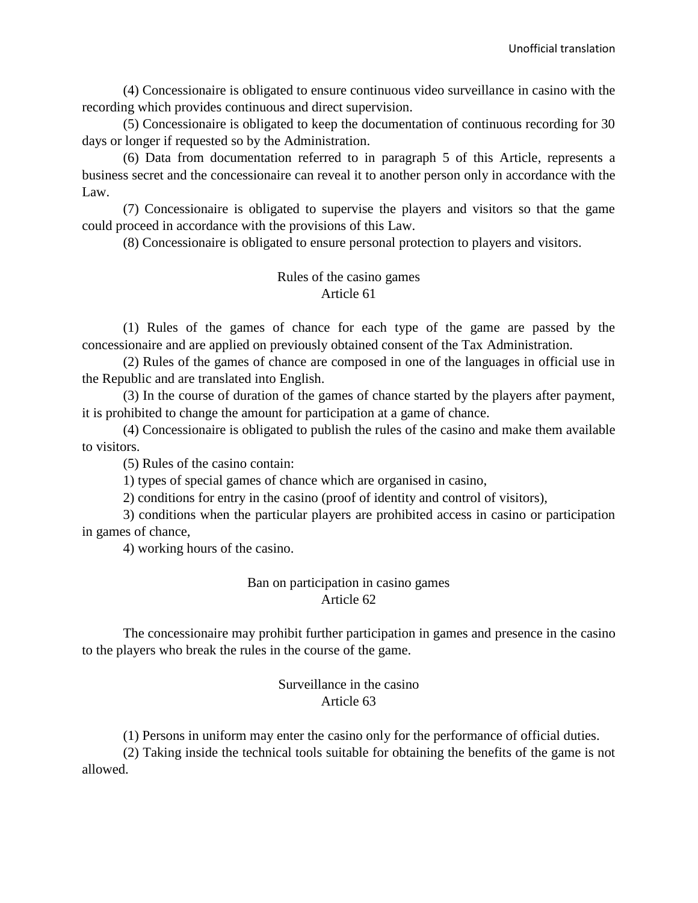(4) Concessionaire is obligated to ensure continuous video surveillance in casino with the recording which provides continuous and direct supervision.

(5) Concessionaire is obligated to keep the documentation of continuous recording for 30 days or longer if requested so by the Administration.

(6) Data from documentation referred to in paragraph 5 of this Article, represents a business secret and the concessionaire can reveal it to another person only in accordance with the Law.

(7) Concessionaire is obligated to supervise the players and visitors so that the game could proceed in accordance with the provisions of this Law.

(8) Concessionaire is obligated to ensure personal protection to players and visitors.

# Rules of the casino games Article 61

(1) Rules of the games of chance for each type of the game are passed by the concessionaire and are applied on previously obtained consent of the Tax Administration.

(2) Rules of the games of chance are composed in one of the languages in official use in the Republic and are translated into English.

(3) In the course of duration of the games of chance started by the players after payment, it is prohibited to change the amount for participation at a game of chance.

(4) Concessionaire is obligated to publish the rules of the casino and make them available to visitors.

(5) Rules of the casino contain:

1) types of special games of chance which are organised in casino,

2) conditions for entry in the casino (proof of identity and control of visitors),

3) conditions when the particular players are prohibited access in casino or participation in games of chance,

4) working hours of the casino.

#### Ban on participation in casino games Article 62

The concessionaire may prohibit further participation in games and presence in the casino to the players who break the rules in the course of the game.

#### Surveillance in the casino Article 63

(1) Persons in uniform may enter the casino only for the performance of official duties.

(2) Taking inside the technical tools suitable for obtaining the benefits of the game is not allowed.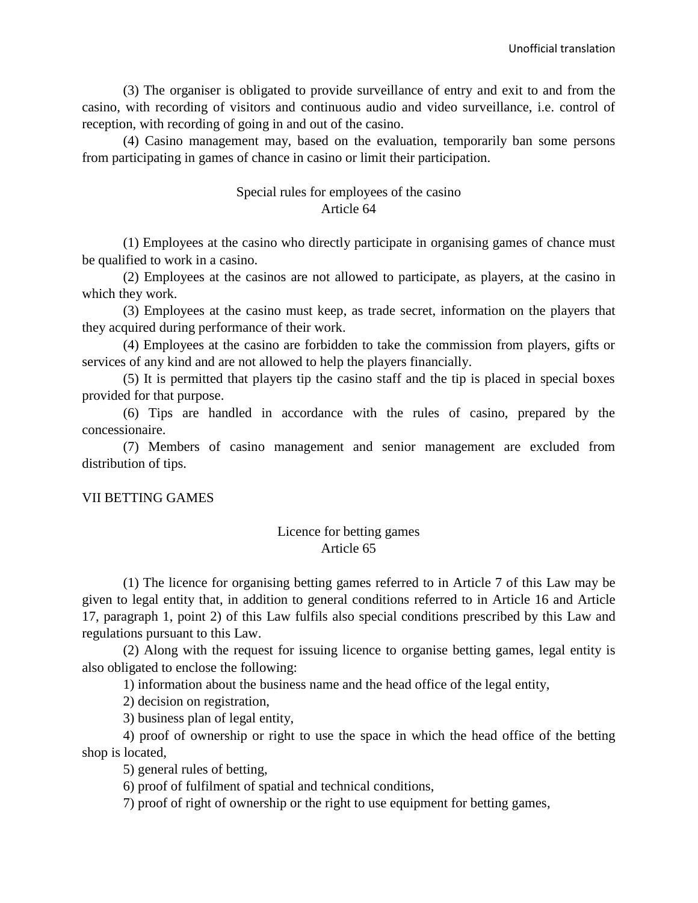(3) The organiser is obligated to provide surveillance of entry and exit to and from the casino, with recording of visitors and continuous audio and video surveillance, i.e. control of reception, with recording of going in and out of the casino.

(4) Casino management may, based on the evaluation, temporarily ban some persons from participating in games of chance in casino or limit their participation.

## Special rules for employees of the casino Article 64

(1) Employees at the casino who directly participate in organising games of chance must be qualified to work in a casino.

(2) Employees at the casinos are not allowed to participate, as players, at the casino in which they work.

(3) Employees at the casino must keep, as trade secret, information on the players that they acquired during performance of their work.

(4) Employees at the casino are forbidden to take the commission from players, gifts or services of any kind and are not allowed to help the players financially.

(5) It is permitted that players tip the casino staff and the tip is placed in special boxes provided for that purpose.

(6) Tips are handled in accordance with the rules of casino, prepared by the concessionaire.

(7) Members of casino management and senior management are excluded from distribution of tips.

## VII BETTING GAMES

# Licence for betting games Article 65

(1) The licence for organising betting games referred to in Article 7 of this Law may be given to legal entity that, in addition to general conditions referred to in Article 16 and Article 17, paragraph 1, point 2) of this Law fulfils also special conditions prescribed by this Law and regulations pursuant to this Law.

(2) Along with the request for issuing licence to organise betting games, legal entity is also obligated to enclose the following:

1) information about the business name and the head office of the legal entity,

2) decision on registration,

3) business plan of legal entity,

4) proof of ownership or right to use the space in which the head office of the betting shop is located,

5) general rules of betting,

6) proof of fulfilment of spatial and technical conditions,

7) proof of right of ownership or the right to use equipment for betting games,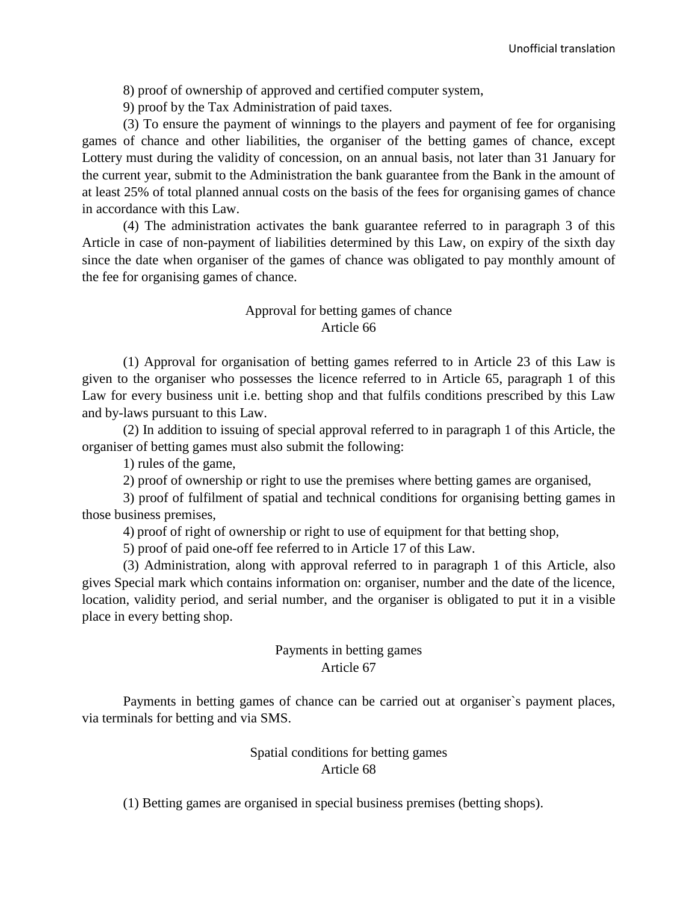8) proof of ownership of approved and certified computer system,

9) proof by the Tax Administration of paid taxes.

(3) To ensure the payment of winnings to the players and payment of fee for organising games of chance and other liabilities, the organiser of the betting games of chance, except Lottery must during the validity of concession, on an annual basis, not later than 31 January for the current year, submit to the Administration the bank guarantee from the Bank in the amount of at least 25% of total planned annual costs on the basis of the fees for organising games of chance in accordance with this Law.

(4) The administration activates the bank guarantee referred to in paragraph 3 of this Article in case of non-payment of liabilities determined by this Law, on expiry of the sixth day since the date when organiser of the games of chance was obligated to pay monthly amount of the fee for organising games of chance.

# Approval for betting games of chance Article 66

(1) Approval for organisation of betting games referred to in Article 23 of this Law is given to the organiser who possesses the licence referred to in Article 65, paragraph 1 of this Law for every business unit i.e. betting shop and that fulfils conditions prescribed by this Law and by-laws pursuant to this Law.

(2) In addition to issuing of special approval referred to in paragraph 1 of this Article, the organiser of betting games must also submit the following:

1) rules of the game,

2) proof of ownership or right to use the premises where betting games are organised,

3) proof of fulfilment of spatial and technical conditions for organising betting games in those business premises,

4) proof of right of ownership or right to use of equipment for that betting shop,

5) proof of paid one-off fee referred to in Article 17 of this Law.

(3) Administration, along with approval referred to in paragraph 1 of this Article, also gives Special mark which contains information on: organiser, number and the date of the licence, location, validity period, and serial number, and the organiser is obligated to put it in a visible place in every betting shop.

## Payments in betting games Article 67

Payments in betting games of chance can be carried out at organiser`s payment places, via terminals for betting and via SMS.

## Spatial conditions for betting games Article 68

(1) Betting games are organised in special business premises (betting shops).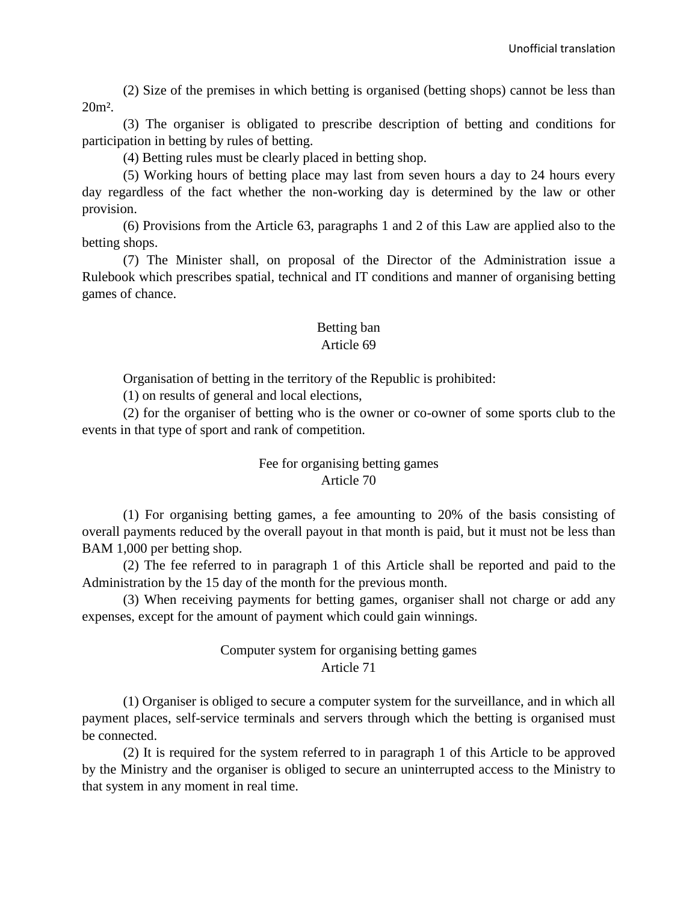(2) Size of the premises in which betting is organised (betting shops) cannot be less than 20m².

(3) The organiser is obligated to prescribe description of betting and conditions for participation in betting by rules of betting.

(4) Betting rules must be clearly placed in betting shop.

(5) Working hours of betting place may last from seven hours a day to 24 hours every day regardless of the fact whether the non-working day is determined by the law or other provision.

(6) Provisions from the Article 63, paragraphs 1 and 2 of this Law are applied also to the betting shops.

(7) The Minister shall, on proposal of the Director of the Administration issue a Rulebook which prescribes spatial, technical and IT conditions and manner of organising betting games of chance.

# Betting ban

#### Article 69

Organisation of betting in the territory of the Republic is prohibited:

(1) on results of general and local elections,

(2) for the organiser of betting who is the owner or co-owner of some sports club to the events in that type of sport and rank of competition.

## Fee for organising betting games Article 70

(1) For organising betting games, a fee amounting to 20% of the basis consisting of overall payments reduced by the overall payout in that month is paid, but it must not be less than BAM 1,000 per betting shop.

(2) The fee referred to in paragraph 1 of this Article shall be reported and paid to the Administration by the 15 day of the month for the previous month.

(3) When receiving payments for betting games, organiser shall not charge or add any expenses, except for the amount of payment which could gain winnings.

# Computer system for organising betting games Article 71

(1) Organiser is obliged to secure a computer system for the surveillance, and in which all payment places, self-service terminals and servers through which the betting is organised must be connected.

(2) It is required for the system referred to in paragraph 1 of this Article to be approved by the Ministry and the organiser is obliged to secure an uninterrupted access to the Ministry to that system in any moment in real time.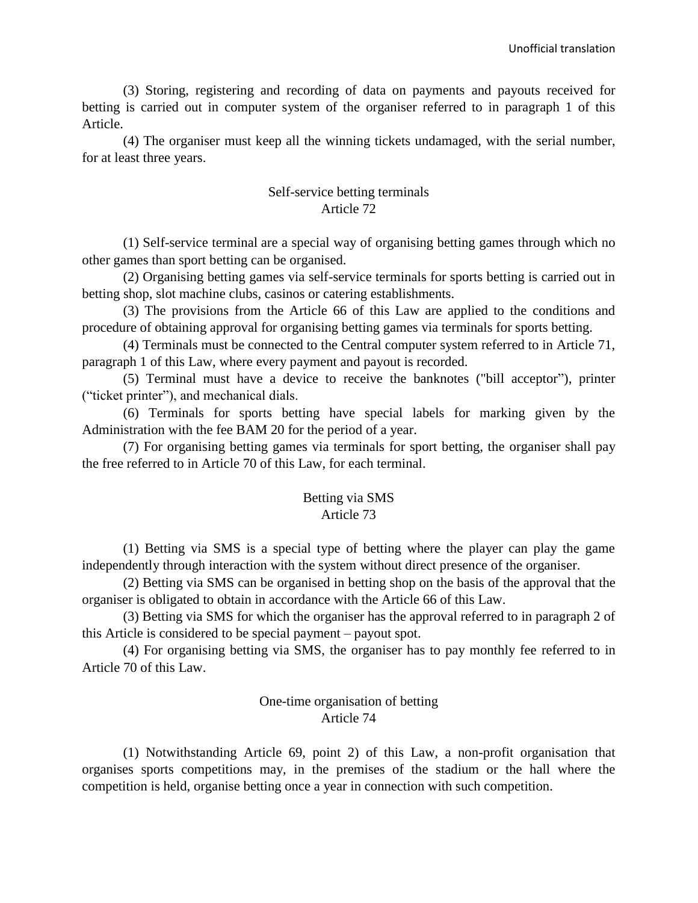(3) Storing, registering and recording of data on payments and payouts received for betting is carried out in computer system of the organiser referred to in paragraph 1 of this Article.

(4) The organiser must keep all the winning tickets undamaged, with the serial number, for at least three years.

# Self-service betting terminals Article 72

(1) Self-service terminal are a special way of organising betting games through which no other games than sport betting can be organised.

(2) Organising betting games via self-service terminals for sports betting is carried out in betting shop, slot machine clubs, casinos or catering establishments.

(3) The provisions from the Article 66 of this Law are applied to the conditions and procedure of obtaining approval for organising betting games via terminals for sports betting.

(4) Terminals must be connected to the Central computer system referred to in Article 71, paragraph 1 of this Law, where every payment and payout is recorded.

(5) Terminal must have a device to receive the banknotes ("bill acceptor"), printer ("ticket printer"), and mechanical dials.

(6) Terminals for sports betting have special labels for marking given by the Administration with the fee BAM 20 for the period of a year.

(7) For organising betting games via terminals for sport betting, the organiser shall pay the free referred to in Article 70 of this Law, for each terminal.

# Betting via SMS

# Article 73

(1) Betting via SMS is a special type of betting where the player can play the game independently through interaction with the system without direct presence of the organiser.

(2) Betting via SMS can be organised in betting shop on the basis of the approval that the organiser is obligated to obtain in accordance with the Article 66 of this Law.

(3) Betting via SMS for which the organiser has the approval referred to in paragraph 2 of this Article is considered to be special payment – payout spot.

(4) For organising betting via SMS, the organiser has to pay monthly fee referred to in Article 70 of this Law.

## One-time organisation of betting Article 74

(1) Notwithstanding Article 69, point 2) of this Law, a non-profit organisation that organises sports competitions may, in the premises of the stadium or the hall where the competition is held, organise betting once a year in connection with such competition.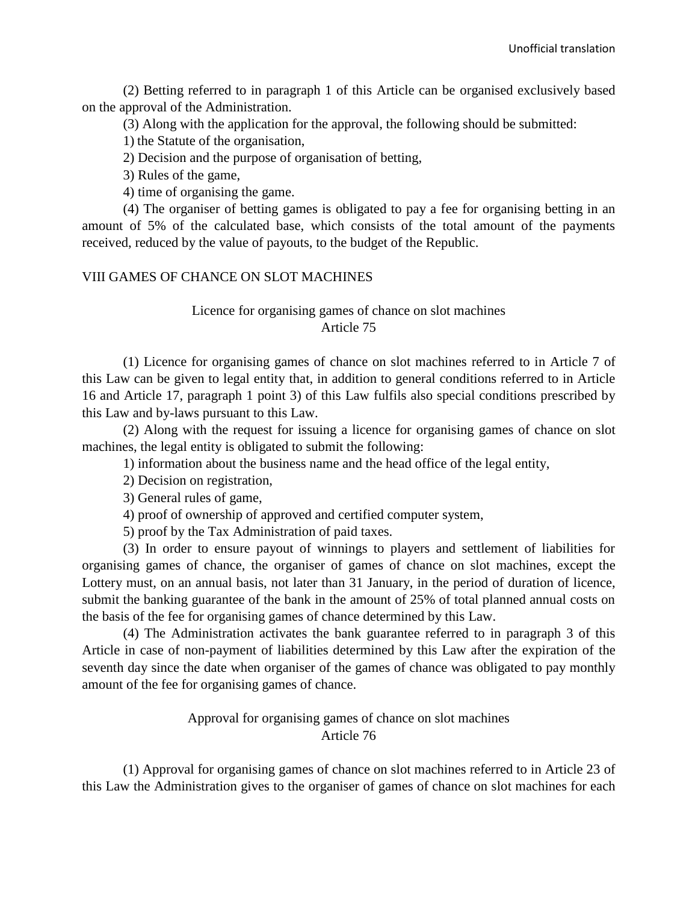(2) Betting referred to in paragraph 1 of this Article can be organised exclusively based on the approval of the Administration.

(3) Along with the application for the approval, the following should be submitted:

1) the Statute of the organisation,

2) Decision and the purpose of organisation of betting,

3) Rules of the game,

4) time of organising the game.

(4) The organiser of betting games is obligated to pay a fee for organising betting in an amount of 5% of the calculated base, which consists of the total amount of the payments received, reduced by the value of payouts, to the budget of the Republic.

#### VIII GAMES OF CHANCE ON SLOT MACHINES

## Licence for organising games of chance on slot machines Article 75

(1) Licence for organising games of chance on slot machines referred to in Article 7 of this Law can be given to legal entity that, in addition to general conditions referred to in Article 16 and Article 17, paragraph 1 point 3) of this Law fulfils also special conditions prescribed by this Law and by-laws pursuant to this Law.

(2) Along with the request for issuing a licence for organising games of chance on slot machines, the legal entity is obligated to submit the following:

1) information about the business name and the head office of the legal entity,

2) Decision on registration,

3) General rules of game,

4) proof of ownership of approved and certified computer system,

5) proof by the Tax Administration of paid taxes.

(3) In order to ensure payout of winnings to players and settlement of liabilities for organising games of chance, the organiser of games of chance on slot machines, except the Lottery must, on an annual basis, not later than 31 January, in the period of duration of licence, submit the banking guarantee of the bank in the amount of 25% of total planned annual costs on the basis of the fee for organising games of chance determined by this Law.

(4) The Administration activates the bank guarantee referred to in paragraph 3 of this Article in case of non-payment of liabilities determined by this Law after the expiration of the seventh day since the date when organiser of the games of chance was obligated to pay monthly amount of the fee for organising games of chance.

## Approval for organising games of chance on slot machines Article 76

(1) Approval for organising games of chance on slot machines referred to in Article 23 of this Law the Administration gives to the organiser of games of chance on slot machines for each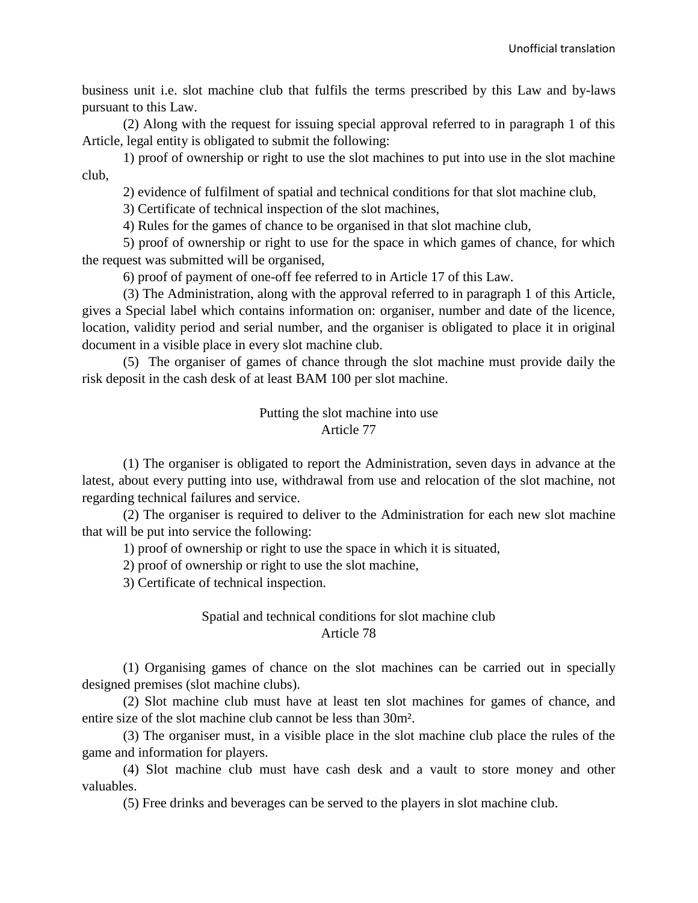business unit i.e. slot machine club that fulfils the terms prescribed by this Law and by-laws pursuant to this Law.

(2) Along with the request for issuing special approval referred to in paragraph 1 of this Article, legal entity is obligated to submit the following:

1) proof of ownership or right to use the slot machines to put into use in the slot machine club,

2) evidence of fulfilment of spatial and technical conditions for that slot machine club,

3) Certificate of technical inspection of the slot machines,

4) Rules for the games of chance to be organised in that slot machine club,

5) proof of ownership or right to use for the space in which games of chance, for which the request was submitted will be organised,

6) proof of payment of one-off fee referred to in Article 17 of this Law.

(3) The Administration, along with the approval referred to in paragraph 1 of this Article, gives a Special label which contains information on: organiser, number and date of the licence, location, validity period and serial number, and the organiser is obligated to place it in original document in a visible place in every slot machine club.

(5) The organiser of games of chance through the slot machine must provide daily the risk deposit in the cash desk of at least BAM 100 per slot machine.

> Putting the slot machine into use Article 77

(1) The organiser is obligated to report the Administration, seven days in advance at the latest, about every putting into use, withdrawal from use and relocation of the slot machine, not regarding technical failures and service.

(2) The organiser is required to deliver to the Administration for each new slot machine that will be put into service the following:

1) proof of ownership or right to use the space in which it is situated,

2) proof of ownership or right to use the slot machine,

3) Certificate of technical inspection.

#### Spatial and technical conditions for slot machine club Article 78

(1) Organising games of chance on the slot machines can be carried out in specially designed premises (slot machine clubs).

(2) Slot machine club must have at least ten slot machines for games of chance, and entire size of the slot machine club cannot be less than 30m².

(3) The organiser must, in a visible place in the slot machine club place the rules of the game and information for players.

(4) Slot machine club must have cash desk and a vault to store money and other valuables.

(5) Free drinks and beverages can be served to the players in slot machine club.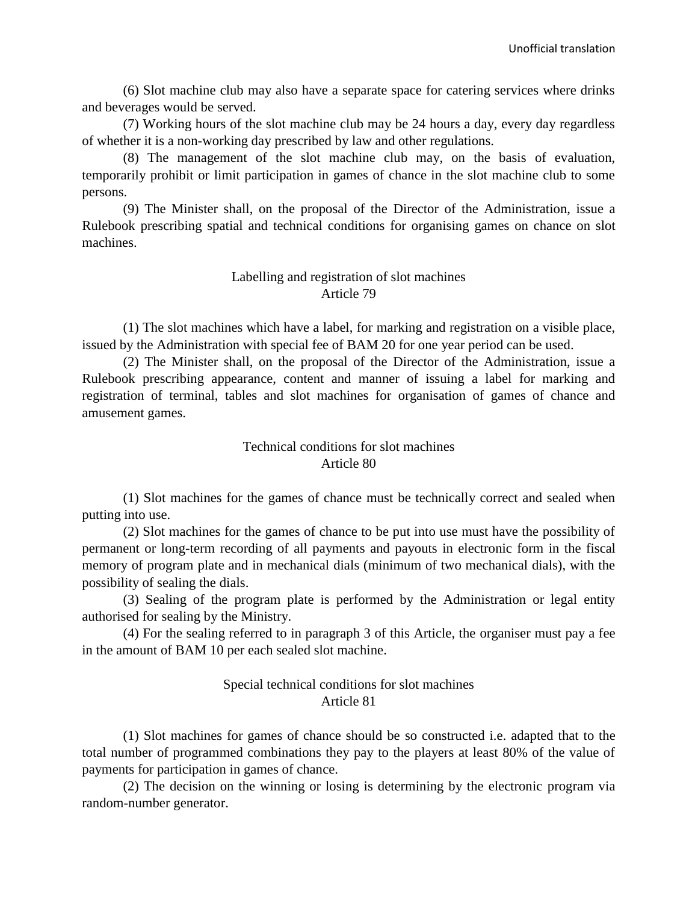(6) Slot machine club may also have a separate space for catering services where drinks and beverages would be served.

(7) Working hours of the slot machine club may be 24 hours a day, every day regardless of whether it is a non-working day prescribed by law and other regulations.

(8) The management of the slot machine club may, on the basis of evaluation, temporarily prohibit or limit participation in games of chance in the slot machine club to some persons.

(9) The Minister shall, on the proposal of the Director of the Administration, issue a Rulebook prescribing spatial and technical conditions for organising games on chance on slot machines.

#### Labelling and registration of slot machines Article 79

(1) The slot machines which have a label, for marking and registration on a visible place, issued by the Administration with special fee of BAM 20 for one year period can be used.

(2) The Minister shall, on the proposal of the Director of the Administration, issue a Rulebook prescribing appearance, content and manner of issuing a label for marking and registration of terminal, tables and slot machines for organisation of games of chance and amusement games.

#### Technical conditions for slot machines Article 80

(1) Slot machines for the games of chance must be technically correct and sealed when putting into use.

(2) Slot machines for the games of chance to be put into use must have the possibility of permanent or long-term recording of all payments and payouts in electronic form in the fiscal memory of program plate and in mechanical dials (minimum of two mechanical dials), with the possibility of sealing the dials.

(3) Sealing of the program plate is performed by the Administration or legal entity authorised for sealing by the Ministry.

(4) For the sealing referred to in paragraph 3 of this Article, the organiser must pay a fee in the amount of BAM 10 per each sealed slot machine.

#### Special technical conditions for slot machines Article 81

(1) Slot machines for games of chance should be so constructed i.e. adapted that to the total number of programmed combinations they pay to the players at least 80% of the value of payments for participation in games of chance.

(2) The decision on the winning or losing is determining by the electronic program via random-number generator.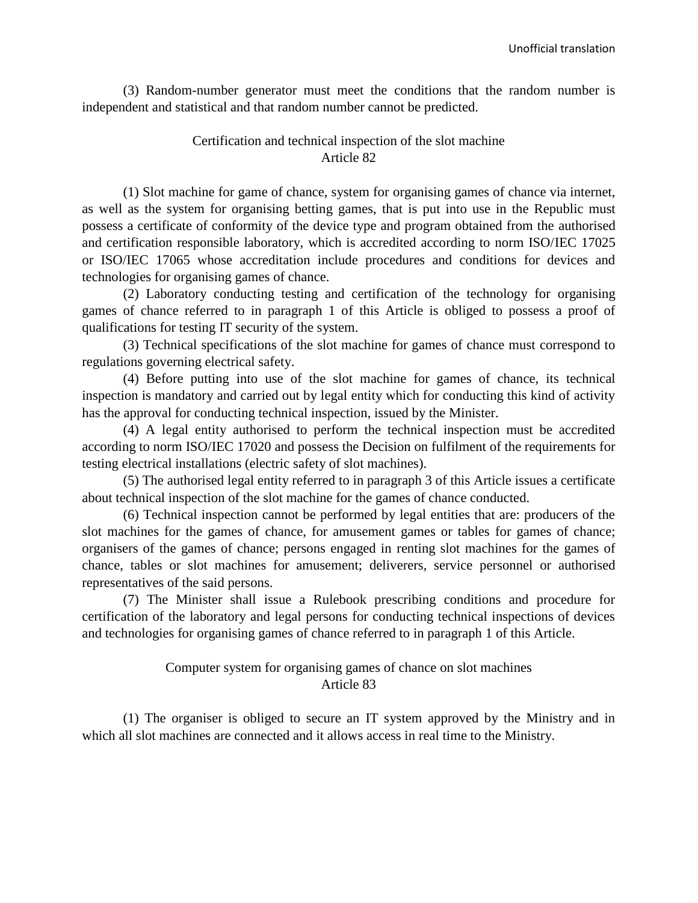(3) Random-number generator must meet the conditions that the random number is independent and statistical and that random number cannot be predicted.

#### Certification and technical inspection of the slot machine Article 82

(1) Slot machine for game of chance, system for organising games of chance via internet, as well as the system for organising betting games, that is put into use in the Republic must possess a certificate of conformity of the device type and program obtained from the authorised and certification responsible laboratory, which is accredited according to norm ISO/IEC 17025 or ISO/IEC 17065 whose accreditation include procedures and conditions for devices and technologies for organising games of chance.

(2) Laboratory conducting testing and certification of the technology for organising games of chance referred to in paragraph 1 of this Article is obliged to possess a proof of qualifications for testing IT security of the system.

(3) Technical specifications of the slot machine for games of chance must correspond to regulations governing electrical safety.

(4) Before putting into use of the slot machine for games of chance, its technical inspection is mandatory and carried out by legal entity which for conducting this kind of activity has the approval for conducting technical inspection, issued by the Minister.

(4) A legal entity authorised to perform the technical inspection must be accredited according to norm ISO/IEC 17020 and possess the Decision on fulfilment of the requirements for testing electrical installations (electric safety of slot machines).

(5) The authorised legal entity referred to in paragraph 3 of this Article issues a certificate about technical inspection of the slot machine for the games of chance conducted.

(6) Technical inspection cannot be performed by legal entities that are: producers of the slot machines for the games of chance, for amusement games or tables for games of chance; organisers of the games of chance; persons engaged in renting slot machines for the games of chance, tables or slot machines for amusement; deliverers, service personnel or authorised representatives of the said persons.

(7) The Minister shall issue a Rulebook prescribing conditions and procedure for certification of the laboratory and legal persons for conducting technical inspections of devices and technologies for organising games of chance referred to in paragraph 1 of this Article.

## Computer system for organising games of chance on slot machines Article 83

(1) The organiser is obliged to secure an IT system approved by the Ministry and in which all slot machines are connected and it allows access in real time to the Ministry.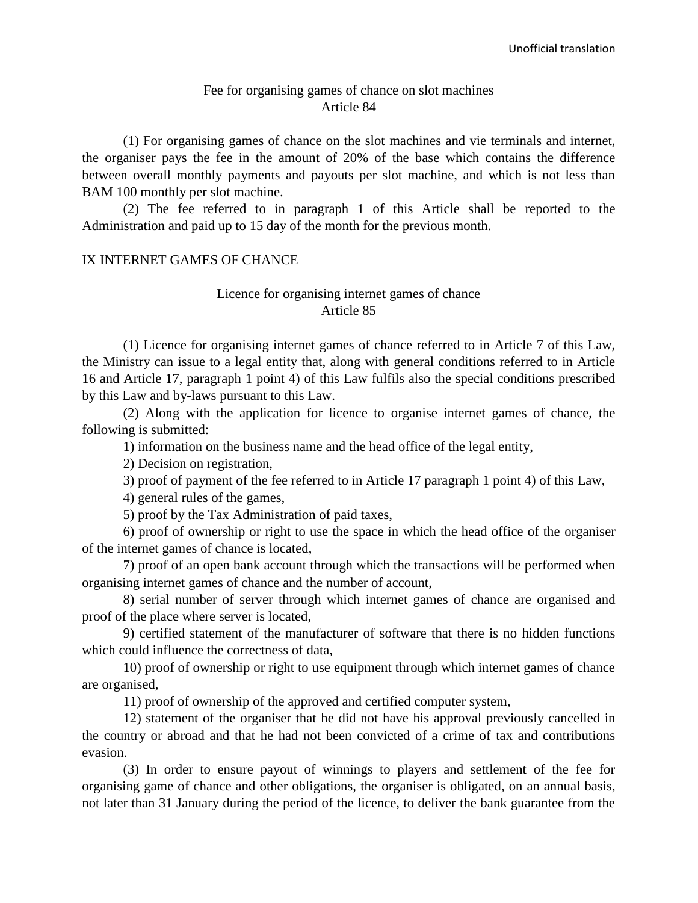#### Fee for organising games of chance on slot machines Article 84

(1) For organising games of chance on the slot machines and vie terminals and internet, the organiser pays the fee in the amount of 20% of the base which contains the difference between overall monthly payments and payouts per slot machine, and which is not less than BAM 100 monthly per slot machine.

(2) The fee referred to in paragraph 1 of this Article shall be reported to the Administration and paid up to 15 day of the month for the previous month.

#### IX INTERNET GAMES OF CHANCE

#### Licence for organising internet games of chance Article 85

(1) Licence for organising internet games of chance referred to in Article 7 of this Law, the Ministry can issue to a legal entity that, along with general conditions referred to in Article 16 and Article 17, paragraph 1 point 4) of this Law fulfils also the special conditions prescribed by this Law and by-laws pursuant to this Law.

(2) Along with the application for licence to organise internet games of chance, the following is submitted:

1) information on the business name and the head office of the legal entity,

2) Decision on registration,

3) proof of payment of the fee referred to in Article 17 paragraph 1 point 4) of this Law,

4) general rules of the games,

5) proof by the Tax Administration of paid taxes,

6) proof of ownership or right to use the space in which the head office of the organiser of the internet games of chance is located,

7) proof of an open bank account through which the transactions will be performed when organising internet games of chance and the number of account,

8) serial number of server through which internet games of chance are organised and proof of the place where server is located,

9) certified statement of the manufacturer of software that there is no hidden functions which could influence the correctness of data,

10) proof of ownership or right to use equipment through which internet games of chance are organised,

11) proof of ownership of the approved and certified computer system,

12) statement of the organiser that he did not have his approval previously cancelled in the country or abroad and that he had not been convicted of a crime of tax and contributions evasion.

(3) In order to ensure payout of winnings to players and settlement of the fee for organising game of chance and other obligations, the organiser is obligated, on an annual basis, not later than 31 January during the period of the licence, to deliver the bank guarantee from the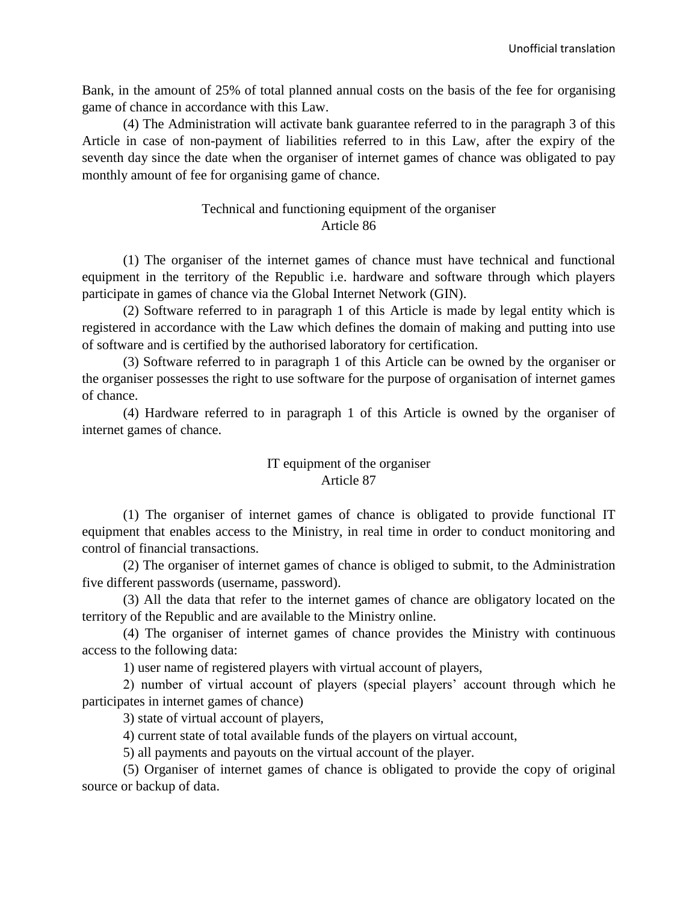Bank, in the amount of 25% of total planned annual costs on the basis of the fee for organising game of chance in accordance with this Law.

(4) The Administration will activate bank guarantee referred to in the paragraph 3 of this Article in case of non-payment of liabilities referred to in this Law, after the expiry of the seventh day since the date when the organiser of internet games of chance was obligated to pay monthly amount of fee for organising game of chance.

#### Technical and functioning equipment of the organiser Article 86

(1) The organiser of the internet games of chance must have technical and functional equipment in the territory of the Republic i.e. hardware and software through which players participate in games of chance via the Global Internet Network (GIN).

(2) Software referred to in paragraph 1 of this Article is made by legal entity which is registered in accordance with the Law which defines the domain of making and putting into use of software and is certified by the authorised laboratory for certification.

(3) Software referred to in paragraph 1 of this Article can be owned by the organiser or the organiser possesses the right to use software for the purpose of organisation of internet games of chance.

(4) Hardware referred to in paragraph 1 of this Article is owned by the organiser of internet games of chance.

# IT equipment of the organiser Article 87

(1) The organiser of internet games of chance is obligated to provide functional IT equipment that enables access to the Ministry, in real time in order to conduct monitoring and control of financial transactions.

(2) The organiser of internet games of chance is obliged to submit, to the Administration five different passwords (username, password).

(3) All the data that refer to the internet games of chance are obligatory located on the territory of the Republic and are available to the Ministry online.

(4) The organiser of internet games of chance provides the Ministry with continuous access to the following data:

1) user name of registered players with virtual account of players,

2) number of virtual account of players (special players' account through which he participates in internet games of chance)

3) state of virtual account of players,

4) current state of total available funds of the players on virtual account,

5) all payments and payouts on the virtual account of the player.

(5) Organiser of internet games of chance is obligated to provide the copy of original source or backup of data.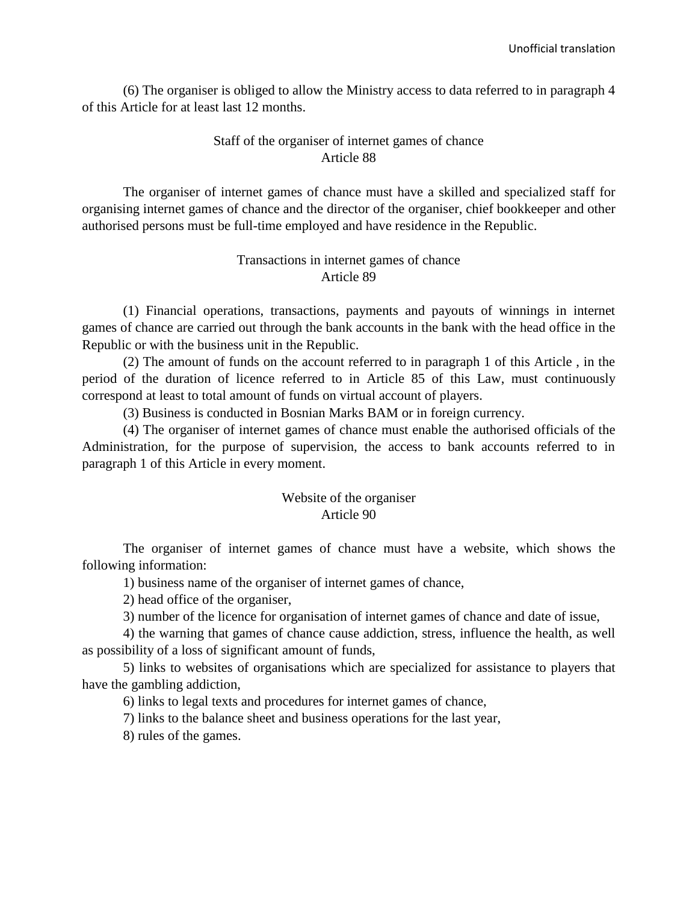(6) The organiser is obliged to allow the Ministry access to data referred to in paragraph 4 of this Article for at least last 12 months.

# Staff of the organiser of internet games of chance Article 88

The organiser of internet games of chance must have a skilled and specialized staff for organising internet games of chance and the director of the organiser, chief bookkeeper and other authorised persons must be full-time employed and have residence in the Republic.

# Transactions in internet games of chance Article 89

(1) Financial operations, transactions, payments and payouts of winnings in internet games of chance are carried out through the bank accounts in the bank with the head office in the Republic or with the business unit in the Republic.

(2) The amount of funds on the account referred to in paragraph 1 of this Article , in the period of the duration of licence referred to in Article 85 of this Law, must continuously correspond at least to total amount of funds on virtual account of players.

(3) Business is conducted in Bosnian Marks BAM or in foreign currency.

(4) The organiser of internet games of chance must enable the authorised officials of the Administration, for the purpose of supervision, the access to bank accounts referred to in paragraph 1 of this Article in every moment.

# Website of the organiser Article 90

The organiser of internet games of chance must have a website, which shows the following information:

1) business name of the organiser of internet games of chance,

2) head office of the organiser,

3) number of the licence for organisation of internet games of chance and date of issue,

4) the warning that games of chance cause addiction, stress, influence the health, as well as possibility of a loss of significant amount of funds,

5) links to websites of organisations which are specialized for assistance to players that have the gambling addiction,

6) links to legal texts and procedures for internet games of chance,

7) links to the balance sheet and business operations for the last year,

8) rules of the games.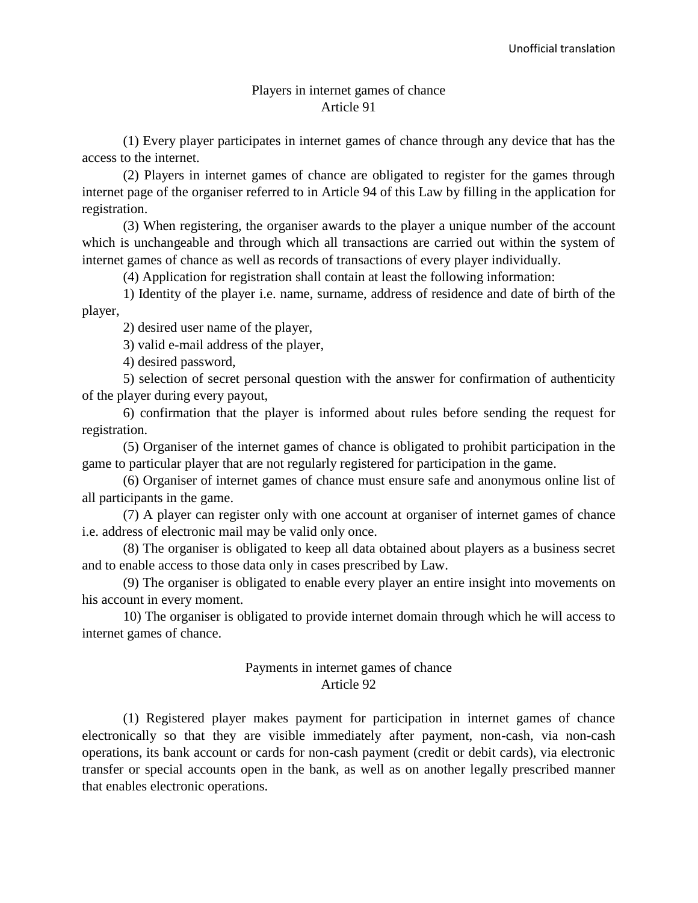#### Players in internet games of chance Article 91

(1) Every player participates in internet games of chance through any device that has the access to the internet.

(2) Players in internet games of chance are obligated to register for the games through internet page of the organiser referred to in Article 94 of this Law by filling in the application for registration.

(3) When registering, the organiser awards to the player a unique number of the account which is unchangeable and through which all transactions are carried out within the system of internet games of chance as well as records of transactions of every player individually.

(4) Application for registration shall contain at least the following information:

1) Identity of the player i.e. name, surname, address of residence and date of birth of the player,

2) desired user name of the player,

3) valid e-mail address of the player,

4) desired password,

5) selection of secret personal question with the answer for confirmation of authenticity of the player during every payout,

6) confirmation that the player is informed about rules before sending the request for registration.

(5) Organiser of the internet games of chance is obligated to prohibit participation in the game to particular player that are not regularly registered for participation in the game.

(6) Organiser of internet games of chance must ensure safe and anonymous online list of all participants in the game.

(7) A player can register only with one account at organiser of internet games of chance i.e. address of electronic mail may be valid only once.

(8) The organiser is obligated to keep all data obtained about players as a business secret and to enable access to those data only in cases prescribed by Law.

(9) The organiser is obligated to enable every player an entire insight into movements on his account in every moment.

10) The organiser is obligated to provide internet domain through which he will access to internet games of chance.

## Payments in internet games of chance Article 92

(1) Registered player makes payment for participation in internet games of chance electronically so that they are visible immediately after payment, non-cash, via non-cash operations, its bank account or cards for non-cash payment (credit or debit cards), via electronic transfer or special accounts open in the bank, as well as on another legally prescribed manner that enables electronic operations.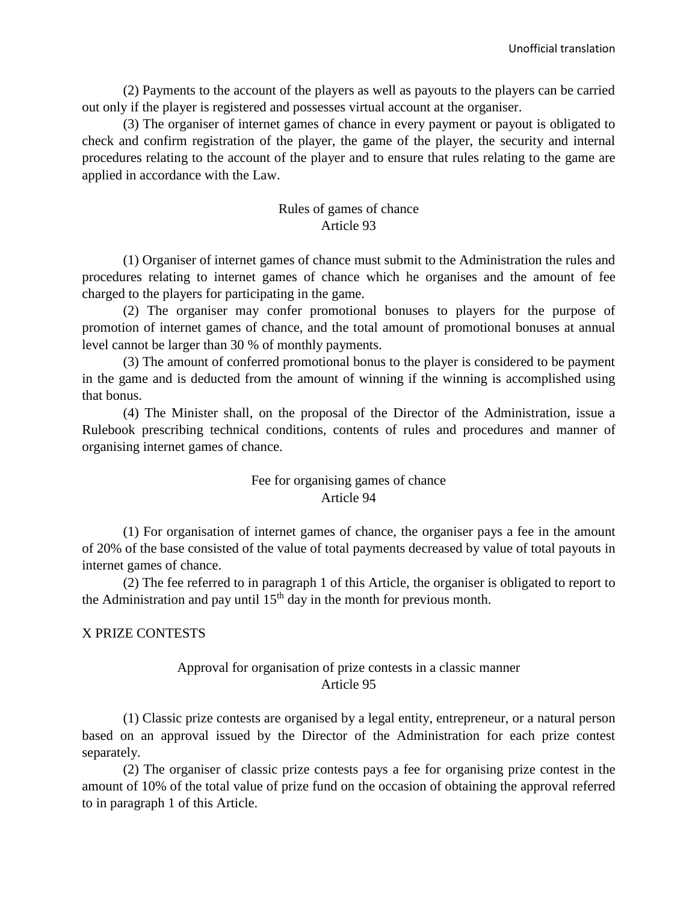(2) Payments to the account of the players as well as payouts to the players can be carried out only if the player is registered and possesses virtual account at the organiser.

(3) The organiser of internet games of chance in every payment or payout is obligated to check and confirm registration of the player, the game of the player, the security and internal procedures relating to the account of the player and to ensure that rules relating to the game are applied in accordance with the Law.

#### Rules of games of chance Article 93

(1) Organiser of internet games of chance must submit to the Administration the rules and procedures relating to internet games of chance which he organises and the amount of fee charged to the players for participating in the game.

(2) The organiser may confer promotional bonuses to players for the purpose of promotion of internet games of chance, and the total amount of promotional bonuses at annual level cannot be larger than 30 % of monthly payments.

(3) The amount of conferred promotional bonus to the player is considered to be payment in the game and is deducted from the amount of winning if the winning is accomplished using that bonus.

(4) The Minister shall, on the proposal of the Director of the Administration, issue a Rulebook prescribing technical conditions, contents of rules and procedures and manner of organising internet games of chance.

# Fee for organising games of chance Article 94

(1) For organisation of internet games of chance, the organiser pays a fee in the amount of 20% of the base consisted of the value of total payments decreased by value of total payouts in internet games of chance.

(2) The fee referred to in paragraph 1 of this Article, the organiser is obligated to report to the Administration and pay until  $15<sup>th</sup>$  day in the month for previous month.

## X PRIZE CONTESTS

# Approval for organisation of prize contests in a classic manner Article 95

(1) Classic prize contests are organised by a legal entity, entrepreneur, or a natural person based on an approval issued by the Director of the Administration for each prize contest separately.

(2) The organiser of classic prize contests pays a fee for organising prize contest in the amount of 10% of the total value of prize fund on the occasion of obtaining the approval referred to in paragraph 1 of this Article.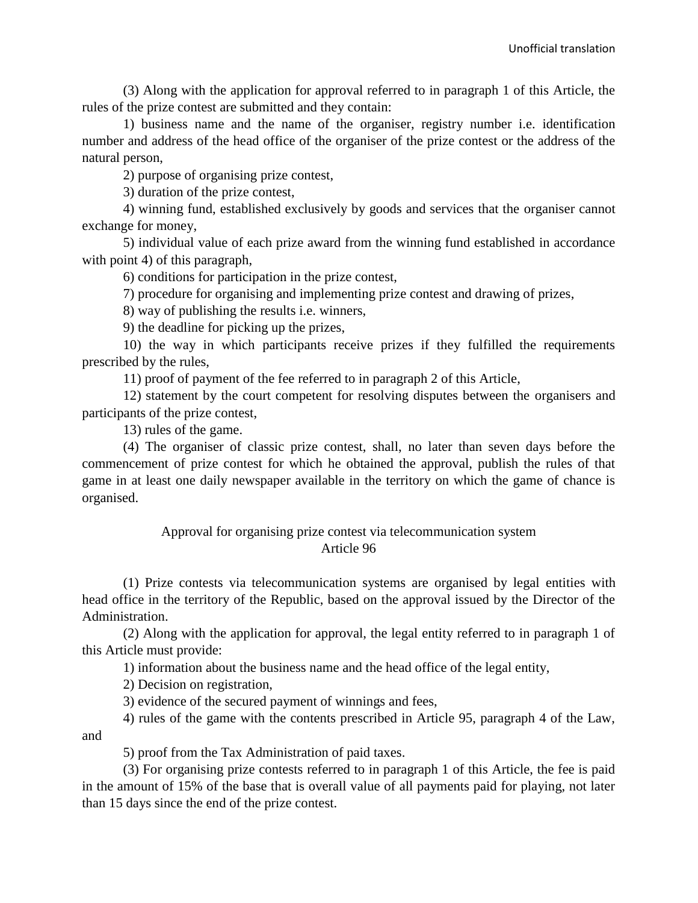(3) Along with the application for approval referred to in paragraph 1 of this Article, the rules of the prize contest are submitted and they contain:

1) business name and the name of the organiser, registry number i.e. identification number and address of the head office of the organiser of the prize contest or the address of the natural person,

2) purpose of organising prize contest,

3) duration of the prize contest,

4) winning fund, established exclusively by goods and services that the organiser cannot exchange for money,

5) individual value of each prize award from the winning fund established in accordance with point 4) of this paragraph,

6) conditions for participation in the prize contest,

7) procedure for organising and implementing prize contest and drawing of prizes,

8) way of publishing the results i.e. winners,

9) the deadline for picking up the prizes,

10) the way in which participants receive prizes if they fulfilled the requirements prescribed by the rules,

11) proof of payment of the fee referred to in paragraph 2 of this Article,

12) statement by the court competent for resolving disputes between the organisers and participants of the prize contest,

13) rules of the game.

(4) The organiser of classic prize contest, shall, no later than seven days before the commencement of prize contest for which he obtained the approval, publish the rules of that game in at least one daily newspaper available in the territory on which the game of chance is organised.

# Approval for organising prize contest via telecommunication system Article 96

(1) Prize contests via telecommunication systems are organised by legal entities with head office in the territory of the Republic, based on the approval issued by the Director of the Administration.

(2) Along with the application for approval, the legal entity referred to in paragraph 1 of this Article must provide:

1) information about the business name and the head office of the legal entity,

2) Decision on registration,

3) evidence of the secured payment of winnings and fees,

4) rules of the game with the contents prescribed in Article 95, paragraph 4 of the Law, and

5) proof from the Tax Administration of paid taxes.

(3) For organising prize contests referred to in paragraph 1 of this Article, the fee is paid in the amount of 15% of the base that is overall value of all payments paid for playing, not later than 15 days since the end of the prize contest.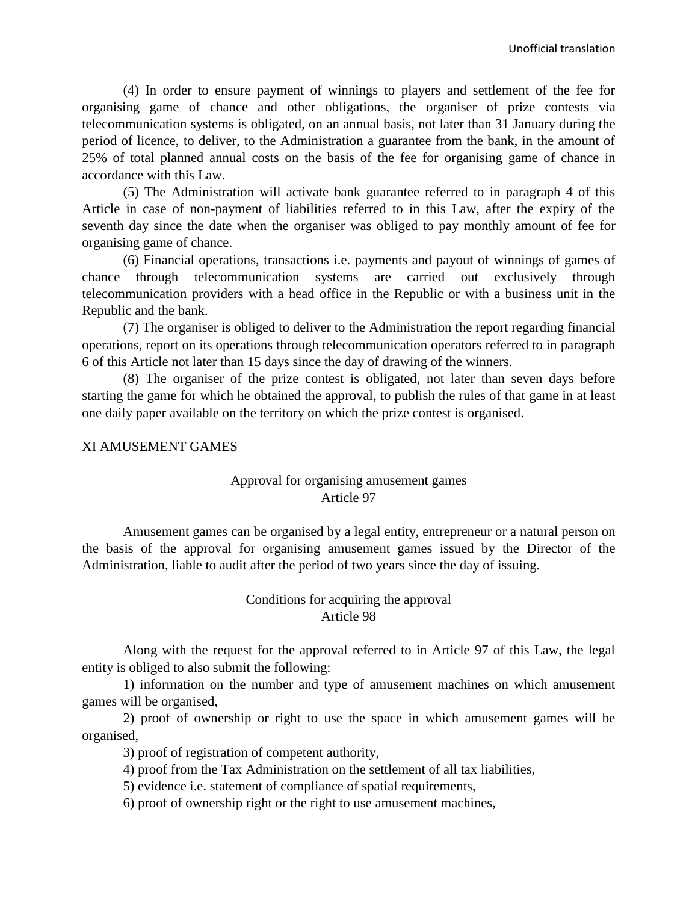(4) In order to ensure payment of winnings to players and settlement of the fee for organising game of chance and other obligations, the organiser of prize contests via telecommunication systems is obligated, on an annual basis, not later than 31 January during the period of licence, to deliver, to the Administration a guarantee from the bank, in the amount of 25% of total planned annual costs on the basis of the fee for organising game of chance in accordance with this Law.

(5) The Administration will activate bank guarantee referred to in paragraph 4 of this Article in case of non-payment of liabilities referred to in this Law, after the expiry of the seventh day since the date when the organiser was obliged to pay monthly amount of fee for organising game of chance.

(6) Financial operations, transactions i.e. payments and payout of winnings of games of chance through telecommunication systems are carried out exclusively through telecommunication providers with a head office in the Republic or with a business unit in the Republic and the bank.

(7) The organiser is obliged to deliver to the Administration the report regarding financial operations, report on its operations through telecommunication operators referred to in paragraph 6 of this Article not later than 15 days since the day of drawing of the winners.

(8) The organiser of the prize contest is obligated, not later than seven days before starting the game for which he obtained the approval, to publish the rules of that game in at least one daily paper available on the territory on which the prize contest is organised.

#### XI AMUSEMENT GAMES

## Approval for organising amusement games Article 97

Amusement games can be organised by a legal entity, entrepreneur or a natural person on the basis of the approval for organising amusement games issued by the Director of the Administration, liable to audit after the period of two years since the day of issuing.

#### Conditions for acquiring the approval Article 98

Along with the request for the approval referred to in Article 97 of this Law, the legal entity is obliged to also submit the following:

1) information on the number and type of amusement machines on which amusement games will be organised,

2) proof of ownership or right to use the space in which amusement games will be organised,

3) proof of registration of competent authority,

4) proof from the Tax Administration on the settlement of all tax liabilities,

5) evidence i.e. statement of compliance of spatial requirements,

6) proof of ownership right or the right to use amusement machines,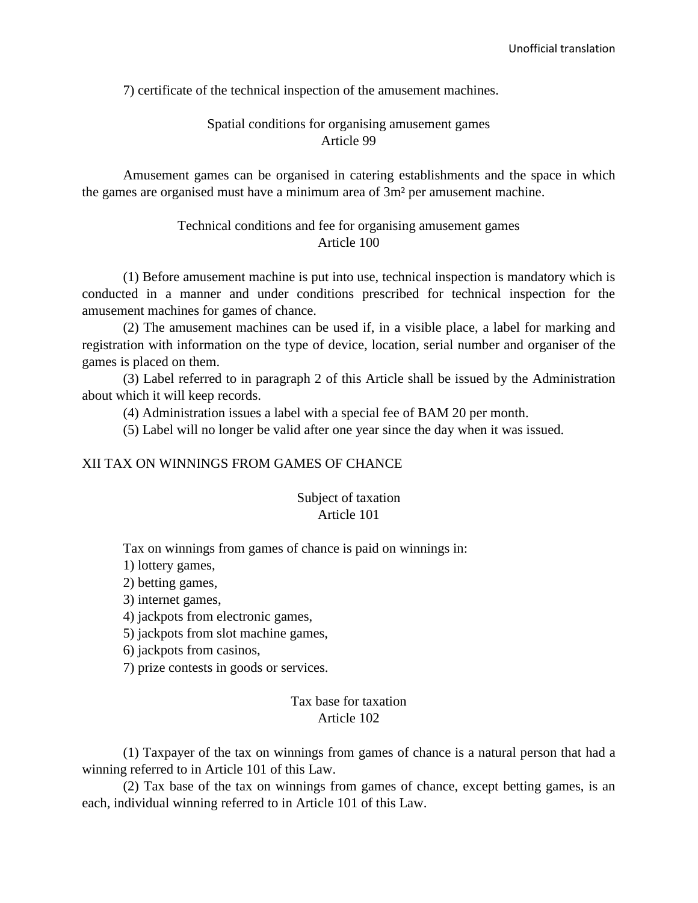7) certificate of the technical inspection of the amusement machines.

# Spatial conditions for organising amusement games Article 99

Amusement games can be organised in catering establishments and the space in which the games are organised must have a minimum area of 3m² per amusement machine.

## Technical conditions and fee for organising amusement games Article 100

(1) Before amusement machine is put into use, technical inspection is mandatory which is conducted in a manner and under conditions prescribed for technical inspection for the amusement machines for games of chance.

(2) The amusement machines can be used if, in a visible place, a label for marking and registration with information on the type of device, location, serial number and organiser of the games is placed on them.

(3) Label referred to in paragraph 2 of this Article shall be issued by the Administration about which it will keep records.

(4) Administration issues a label with a special fee of BAM 20 per month.

(5) Label will no longer be valid after one year since the day when it was issued.

#### XII TAX ON WINNINGS FROM GAMES OF CHANCE

## Subject of taxation Article 101

Tax on winnings from games of chance is paid on winnings in:

1) lottery games,

2) betting games,

3) internet games,

4) jackpots from electronic games,

5) jackpots from slot machine games,

6) jackpots from casinos,

7) prize contests in goods or services.

## Tax base for taxation Article 102

(1) Taxpayer of the tax on winnings from games of chance is a natural person that had a winning referred to in Article 101 of this Law.

(2) Tax base of the tax on winnings from games of chance, except betting games, is an each, individual winning referred to in Article 101 of this Law.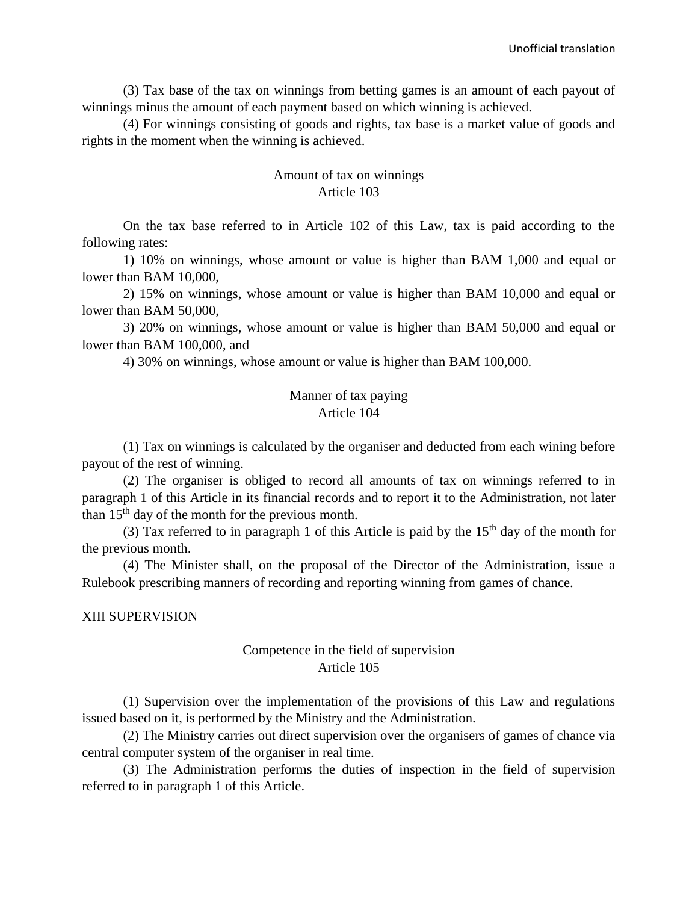(3) Tax base of the tax on winnings from betting games is an amount of each payout of winnings minus the amount of each payment based on which winning is achieved.

(4) For winnings consisting of goods and rights, tax base is a market value of goods and rights in the moment when the winning is achieved.

#### Amount of tax on winnings Article 103

On the tax base referred to in Article 102 of this Law, tax is paid according to the following rates:

1) 10% on winnings, whose amount or value is higher than BAM 1,000 and equal or lower than BAM 10,000,

2) 15% on winnings, whose amount or value is higher than BAM 10,000 and equal or lower than BAM 50,000,

3) 20% on winnings, whose amount or value is higher than BAM 50,000 and equal or lower than BAM 100,000, and

4) 30% on winnings, whose amount or value is higher than BAM 100,000.

#### Manner of tax paying Article 104

(1) Tax on winnings is calculated by the organiser and deducted from each wining before payout of the rest of winning.

(2) The organiser is obliged to record all amounts of tax on winnings referred to in paragraph 1 of this Article in its financial records and to report it to the Administration, not later than  $15<sup>th</sup>$  day of the month for the previous month.

(3) Tax referred to in paragraph 1 of this Article is paid by the  $15<sup>th</sup>$  day of the month for the previous month.

(4) The Minister shall, on the proposal of the Director of the Administration, issue a Rulebook prescribing manners of recording and reporting winning from games of chance.

#### XIII SUPERVISION

#### Competence in the field of supervision Article 105

(1) Supervision over the implementation of the provisions of this Law and regulations issued based on it, is performed by the Ministry and the Administration.

(2) The Ministry carries out direct supervision over the organisers of games of chance via central computer system of the organiser in real time.

(3) The Administration performs the duties of inspection in the field of supervision referred to in paragraph 1 of this Article.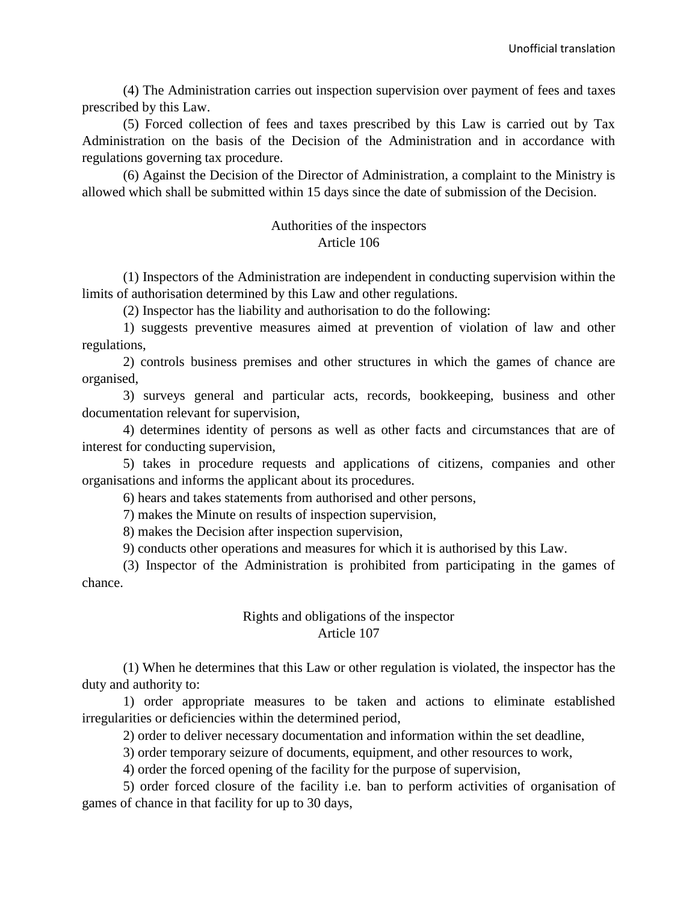(4) The Administration carries out inspection supervision over payment of fees and taxes prescribed by this Law.

(5) Forced collection of fees and taxes prescribed by this Law is carried out by Tax Administration on the basis of the Decision of the Administration and in accordance with regulations governing tax procedure.

(6) Against the Decision of the Director of Administration, a complaint to the Ministry is allowed which shall be submitted within 15 days since the date of submission of the Decision.

#### Authorities of the inspectors Article 106

(1) Inspectors of the Administration are independent in conducting supervision within the limits of authorisation determined by this Law and other regulations.

(2) Inspector has the liability and authorisation to do the following:

1) suggests preventive measures aimed at prevention of violation of law and other regulations,

2) controls business premises and other structures in which the games of chance are organised,

3) surveys general and particular acts, records, bookkeeping, business and other documentation relevant for supervision,

4) determines identity of persons as well as other facts and circumstances that are of interest for conducting supervision,

5) takes in procedure requests and applications of citizens, companies and other organisations and informs the applicant about its procedures.

6) hears and takes statements from authorised and other persons,

7) makes the Minute on results of inspection supervision,

8) makes the Decision after inspection supervision,

9) conducts other operations and measures for which it is authorised by this Law.

(3) Inspector of the Administration is prohibited from participating in the games of chance.

## Rights and obligations of the inspector Article 107

(1) When he determines that this Law or other regulation is violated, the inspector has the duty and authority to:

1) order appropriate measures to be taken and actions to eliminate established irregularities or deficiencies within the determined period,

2) order to deliver necessary documentation and information within the set deadline,

3) order temporary seizure of documents, equipment, and other resources to work,

4) order the forced opening of the facility for the purpose of supervision,

5) order forced closure of the facility i.e. ban to perform activities of organisation of games of chance in that facility for up to 30 days,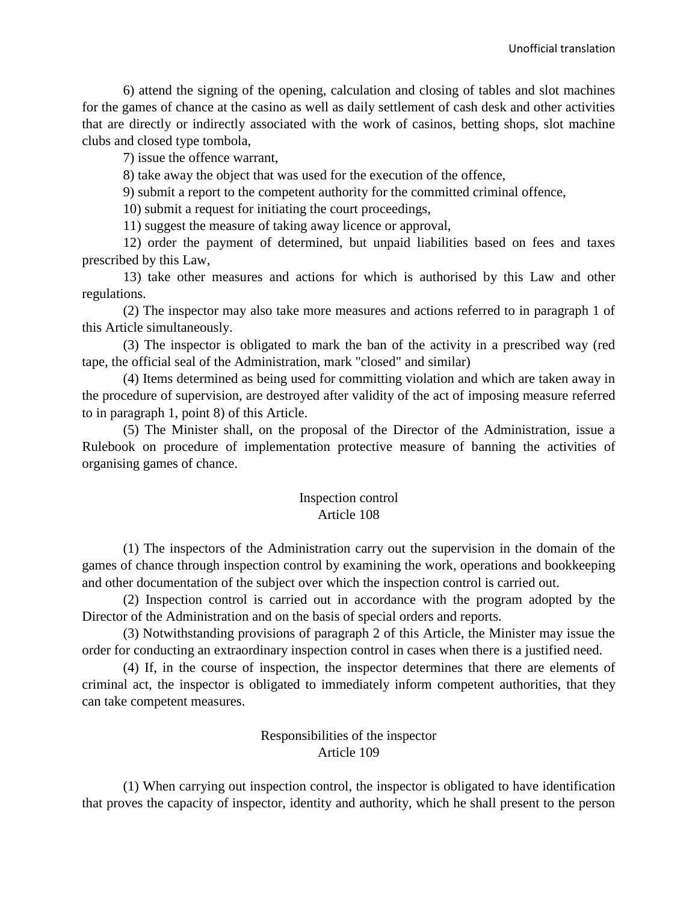6) attend the signing of the opening, calculation and closing of tables and slot machines for the games of chance at the casino as well as daily settlement of cash desk and other activities that are directly or indirectly associated with the work of casinos, betting shops, slot machine clubs and closed type tombola,

7) issue the offence warrant,

8) take away the object that was used for the execution of the offence,

9) submit a report to the competent authority for the committed criminal offence,

10) submit a request for initiating the court proceedings,

11) suggest the measure of taking away licence or approval,

12) order the payment of determined, but unpaid liabilities based on fees and taxes prescribed by this Law,

13) take other measures and actions for which is authorised by this Law and other regulations.

(2) The inspector may also take more measures and actions referred to in paragraph 1 of this Article simultaneously.

(3) The inspector is obligated to mark the ban of the activity in a prescribed way (red tape, the official seal of the Administration, mark "closed" and similar)

(4) Items determined as being used for committing violation and which are taken away in the procedure of supervision, are destroyed after validity of the act of imposing measure referred to in paragraph 1, point 8) of this Article.

(5) The Minister shall, on the proposal of the Director of the Administration, issue a Rulebook on procedure of implementation protective measure of banning the activities of organising games of chance.

## Inspection control Article 108

(1) The inspectors of the Administration carry out the supervision in the domain of the games of chance through inspection control by examining the work, operations and bookkeeping and other documentation of the subject over which the inspection control is carried out.

(2) Inspection control is carried out in accordance with the program adopted by the Director of the Administration and on the basis of special orders and reports.

(3) Notwithstanding provisions of paragraph 2 of this Article, the Minister may issue the order for conducting an extraordinary inspection control in cases when there is a justified need.

(4) If, in the course of inspection, the inspector determines that there are elements of criminal act, the inspector is obligated to immediately inform competent authorities, that they can take competent measures.

# Responsibilities of the inspector Article 109

(1) When carrying out inspection control, the inspector is obligated to have identification that proves the capacity of inspector, identity and authority, which he shall present to the person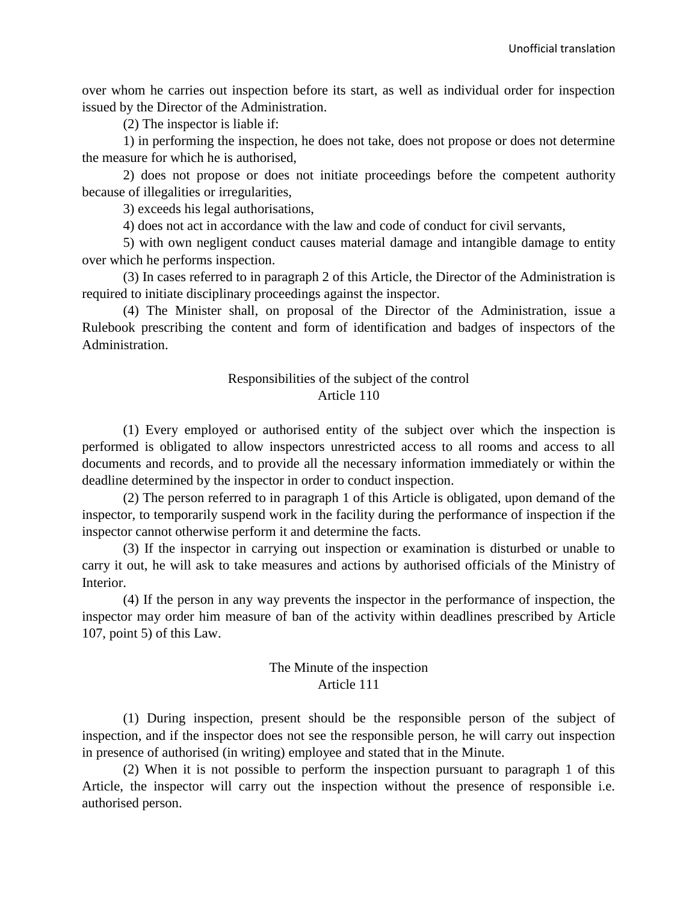over whom he carries out inspection before its start, as well as individual order for inspection issued by the Director of the Administration.

(2) The inspector is liable if:

1) in performing the inspection, he does not take, does not propose or does not determine the measure for which he is authorised,

2) does not propose or does not initiate proceedings before the competent authority because of illegalities or irregularities,

3) exceeds his legal authorisations,

4) does not act in accordance with the law and code of conduct for civil servants,

5) with own negligent conduct causes material damage and intangible damage to entity over which he performs inspection.

(3) In cases referred to in paragraph 2 of this Article, the Director of the Administration is required to initiate disciplinary proceedings against the inspector.

(4) The Minister shall, on proposal of the Director of the Administration, issue a Rulebook prescribing the content and form of identification and badges of inspectors of the Administration.

# Responsibilities of the subject of the control Article 110

(1) Every employed or authorised entity of the subject over which the inspection is performed is obligated to allow inspectors unrestricted access to all rooms and access to all documents and records, and to provide all the necessary information immediately or within the deadline determined by the inspector in order to conduct inspection.

(2) The person referred to in paragraph 1 of this Article is obligated, upon demand of the inspector, to temporarily suspend work in the facility during the performance of inspection if the inspector cannot otherwise perform it and determine the facts.

(3) If the inspector in carrying out inspection or examination is disturbed or unable to carry it out, he will ask to take measures and actions by authorised officials of the Ministry of Interior.

(4) If the person in any way prevents the inspector in the performance of inspection, the inspector may order him measure of ban of the activity within deadlines prescribed by Article 107, point 5) of this Law.

## The Minute of the inspection Article 111

(1) During inspection, present should be the responsible person of the subject of inspection, and if the inspector does not see the responsible person, he will carry out inspection in presence of authorised (in writing) employee and stated that in the Minute.

(2) When it is not possible to perform the inspection pursuant to paragraph 1 of this Article, the inspector will carry out the inspection without the presence of responsible i.e. authorised person.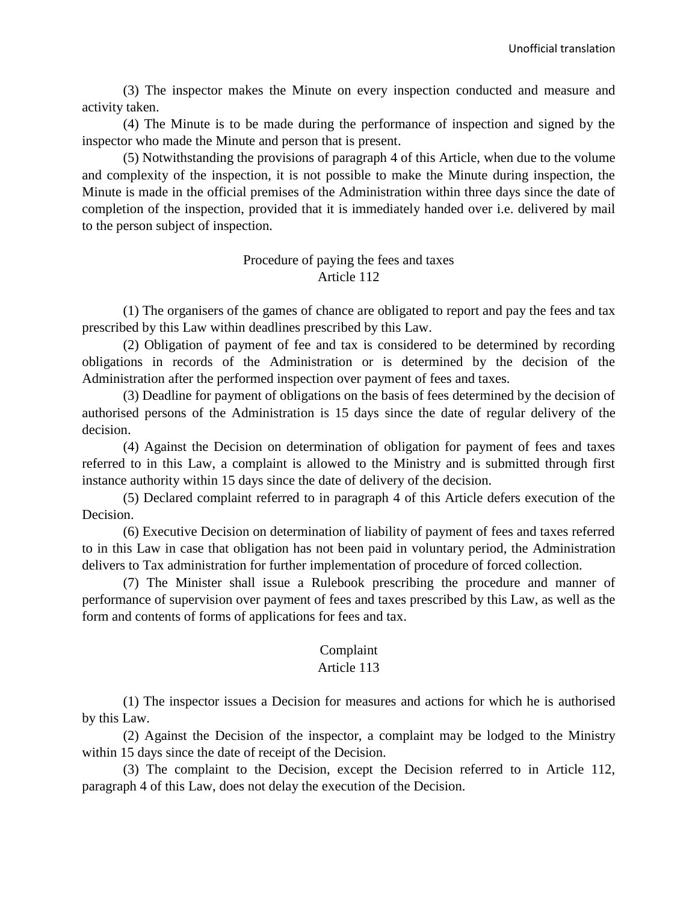(3) The inspector makes the Minute on every inspection conducted and measure and activity taken.

(4) The Minute is to be made during the performance of inspection and signed by the inspector who made the Minute and person that is present.

(5) Notwithstanding the provisions of paragraph 4 of this Article, when due to the volume and complexity of the inspection, it is not possible to make the Minute during inspection, the Minute is made in the official premises of the Administration within three days since the date of completion of the inspection, provided that it is immediately handed over i.e. delivered by mail to the person subject of inspection.

#### Procedure of paying the fees and taxes Article 112

(1) The organisers of the games of chance are obligated to report and pay the fees and tax prescribed by this Law within deadlines prescribed by this Law.

(2) Obligation of payment of fee and tax is considered to be determined by recording obligations in records of the Administration or is determined by the decision of the Administration after the performed inspection over payment of fees and taxes.

(3) Deadline for payment of obligations on the basis of fees determined by the decision of authorised persons of the Administration is 15 days since the date of regular delivery of the decision.

(4) Against the Decision on determination of obligation for payment of fees and taxes referred to in this Law, a complaint is allowed to the Ministry and is submitted through first instance authority within 15 days since the date of delivery of the decision.

(5) Declared complaint referred to in paragraph 4 of this Article defers execution of the Decision.

(6) Executive Decision on determination of liability of payment of fees and taxes referred to in this Law in case that obligation has not been paid in voluntary period, the Administration delivers to Tax administration for further implementation of procedure of forced collection.

(7) The Minister shall issue a Rulebook prescribing the procedure and manner of performance of supervision over payment of fees and taxes prescribed by this Law, as well as the form and contents of forms of applications for fees and tax.

## Complaint

## Article 113

(1) The inspector issues a Decision for measures and actions for which he is authorised by this Law.

(2) Against the Decision of the inspector, a complaint may be lodged to the Ministry within 15 days since the date of receipt of the Decision.

(3) The complaint to the Decision, except the Decision referred to in Article 112, paragraph 4 of this Law, does not delay the execution of the Decision.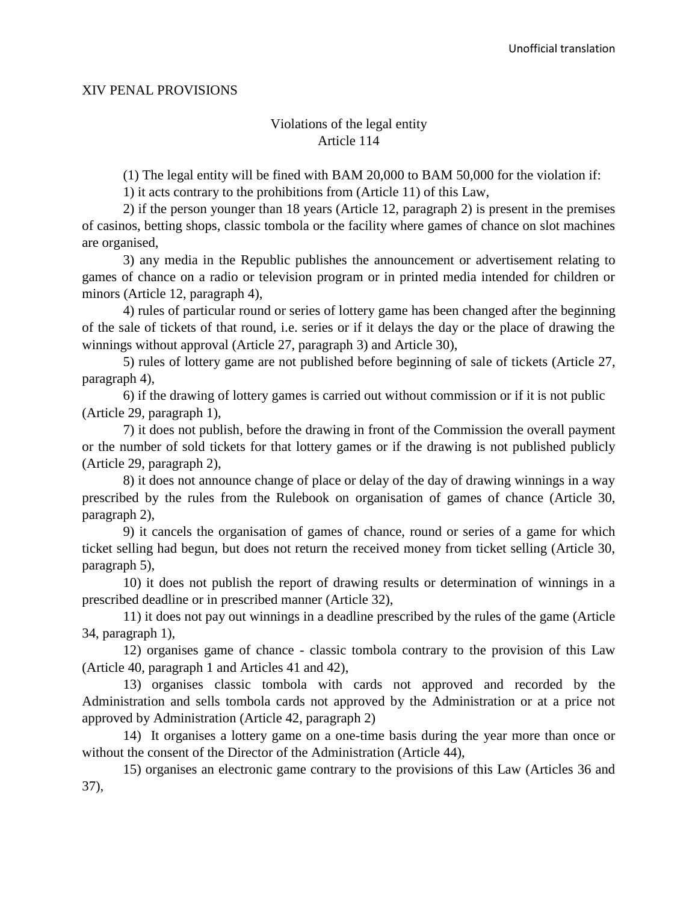#### XIV PENAL PROVISIONS

## Violations of the legal entity Article 114

(1) The legal entity will be fined with BAM 20,000 to BAM 50,000 for the violation if:

1) it acts contrary to the prohibitions from (Article 11) of this Law,

2) if the person younger than 18 years (Article 12, paragraph 2) is present in the premises of casinos, betting shops, classic tombola or the facility where games of chance on slot machines are organised,

3) any media in the Republic publishes the announcement or advertisement relating to games of chance on a radio or television program or in printed media intended for children or minors (Article 12, paragraph 4),

4) rules of particular round or series of lottery game has been changed after the beginning of the sale of tickets of that round, i.e. series or if it delays the day or the place of drawing the winnings without approval (Article 27, paragraph 3) and Article 30),

5) rules of lottery game are not published before beginning of sale of tickets (Article 27, paragraph 4),

6) if the drawing of lottery games is carried out without commission or if it is not public (Article 29, paragraph 1),

7) it does not publish, before the drawing in front of the Commission the overall payment or the number of sold tickets for that lottery games or if the drawing is not published publicly (Article 29, paragraph 2),

8) it does not announce change of place or delay of the day of drawing winnings in a way prescribed by the rules from the Rulebook on organisation of games of chance (Article 30, paragraph 2),

9) it cancels the organisation of games of chance, round or series of a game for which ticket selling had begun, but does not return the received money from ticket selling (Article 30, paragraph 5),

10) it does not publish the report of drawing results or determination of winnings in a prescribed deadline or in prescribed manner (Article 32),

11) it does not pay out winnings in a deadline prescribed by the rules of the game (Article 34, paragraph 1),

12) organises game of chance - classic tombola contrary to the provision of this Law (Article 40, paragraph 1 and Articles 41 and 42),

13) organises classic tombola with cards not approved and recorded by the Administration and sells tombola cards not approved by the Administration or at a price not approved by Administration (Article 42, paragraph 2)

14) It organises a lottery game on a one-time basis during the year more than once or without the consent of the Director of the Administration (Article 44),

15) organises an electronic game contrary to the provisions of this Law (Articles 36 and 37),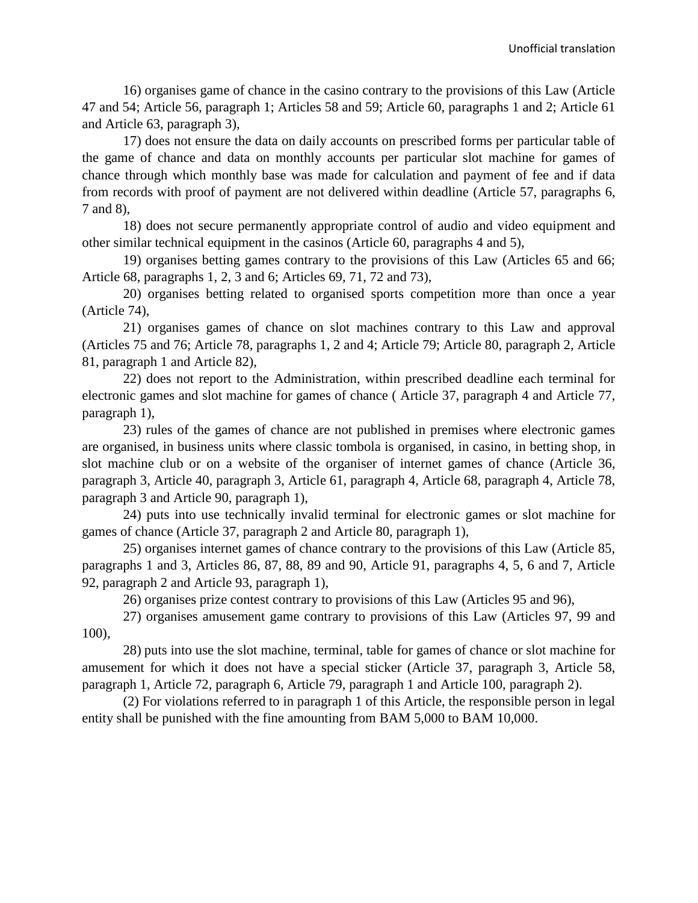16) organises game of chance in the casino contrary to the provisions of this Law (Article 47 and 54; Article 56, paragraph 1; Articles 58 and 59; Article 60, paragraphs 1 and 2; Article 61 and Article 63, paragraph 3),

17) does not ensure the data on daily accounts on prescribed forms per particular table of the game of chance and data on monthly accounts per particular slot machine for games of chance through which monthly base was made for calculation and payment of fee and if data from records with proof of payment are not delivered within deadline (Article 57, paragraphs 6, 7 and 8),

18) does not secure permanently appropriate control of audio and video equipment and other similar technical equipment in the casinos (Article 60, paragraphs 4 and 5),

19) organises betting games contrary to the provisions of this Law (Articles 65 and 66; Article 68, paragraphs 1, 2, 3 and 6; Articles 69, 71, 72 and 73),

20) organises betting related to organised sports competition more than once a year (Article 74),

21) organises games of chance on slot machines contrary to this Law and approval (Articles 75 and 76; Article 78, paragraphs 1, 2 and 4; Article 79; Article 80, paragraph 2, Article 81, paragraph 1 and Article 82),

22) does not report to the Administration, within prescribed deadline each terminal for electronic games and slot machine for games of chance ( Article 37, paragraph 4 and Article 77, paragraph 1),

23) rules of the games of chance are not published in premises where electronic games are organised, in business units where classic tombola is organised, in casino, in betting shop, in slot machine club or on a website of the organiser of internet games of chance (Article 36, paragraph 3, Article 40, paragraph 3, Article 61, paragraph 4, Article 68, paragraph 4, Article 78, paragraph 3 and Article 90, paragraph 1),

24) puts into use technically invalid terminal for electronic games or slot machine for games of chance (Article 37, paragraph 2 and Article 80, paragraph 1),

25) organises internet games of chance contrary to the provisions of this Law (Article 85, paragraphs 1 and 3, Articles 86, 87, 88, 89 and 90, Article 91, paragraphs 4, 5, 6 and 7, Article 92, paragraph 2 and Article 93, paragraph 1),

26) organises prize contest contrary to provisions of this Law (Articles 95 and 96),

27) organises amusement game contrary to provisions of this Law (Articles 97, 99 and 100),

28) puts into use the slot machine, terminal, table for games of chance or slot machine for amusement for which it does not have a special sticker (Article 37, paragraph 3, Article 58, paragraph 1, Article 72, paragraph 6, Article 79, paragraph 1 and Article 100, paragraph 2).

(2) For violations referred to in paragraph 1 of this Article, the responsible person in legal entity shall be punished with the fine amounting from BAM 5,000 to BAM 10,000.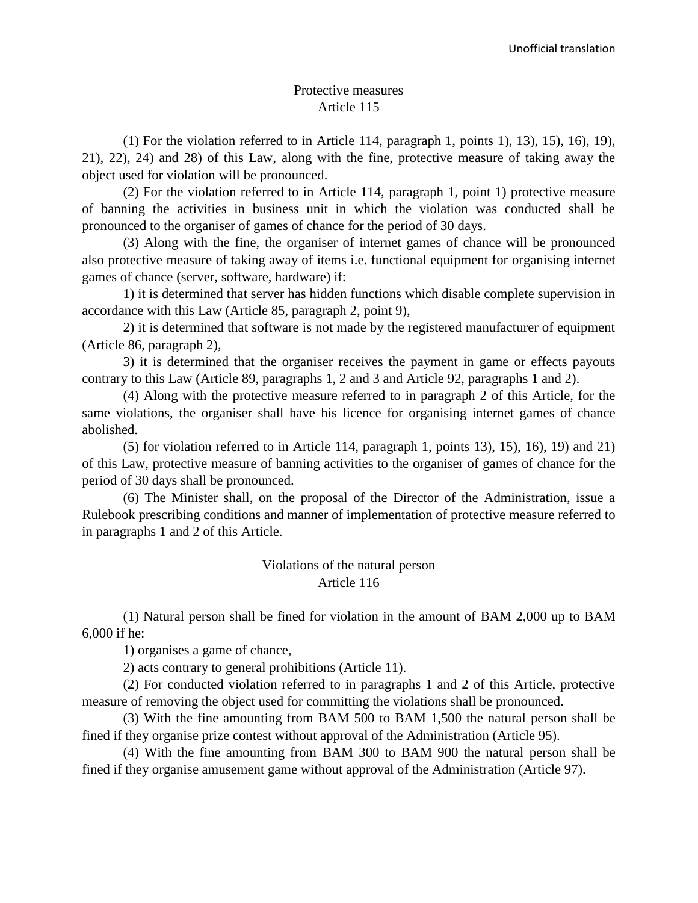#### Protective measures Article 115

 $(1)$  For the violation referred to in Article 114, paragraph 1, points 1), 13), 15), 16), 19), 21), 22), 24) and 28) of this Law, along with the fine, protective measure of taking away the object used for violation will be pronounced.

(2) For the violation referred to in Article 114, paragraph 1, point 1) protective measure of banning the activities in business unit in which the violation was conducted shall be pronounced to the organiser of games of chance for the period of 30 days.

(3) Along with the fine, the organiser of internet games of chance will be pronounced also protective measure of taking away of items i.e. functional equipment for organising internet games of chance (server, software, hardware) if:

1) it is determined that server has hidden functions which disable complete supervision in accordance with this Law (Article 85, paragraph 2, point 9),

2) it is determined that software is not made by the registered manufacturer of equipment (Article 86, paragraph 2),

3) it is determined that the organiser receives the payment in game or effects payouts contrary to this Law (Article 89, paragraphs 1, 2 and 3 and Article 92, paragraphs 1 and 2).

(4) Along with the protective measure referred to in paragraph 2 of this Article, for the same violations, the organiser shall have his licence for organising internet games of chance abolished.

(5) for violation referred to in Article 114, paragraph 1, points 13), 15), 16), 19) and 21) of this Law, protective measure of banning activities to the organiser of games of chance for the period of 30 days shall be pronounced.

(6) The Minister shall, on the proposal of the Director of the Administration, issue a Rulebook prescribing conditions and manner of implementation of protective measure referred to in paragraphs 1 and 2 of this Article.

#### Violations of the natural person Article 116

(1) Natural person shall be fined for violation in the amount of BAM 2,000 up to BAM 6,000 if he:

1) organises a game of chance,

2) acts contrary to general prohibitions (Article 11).

(2) For conducted violation referred to in paragraphs 1 and 2 of this Article, protective measure of removing the object used for committing the violations shall be pronounced.

(3) With the fine amounting from BAM 500 to BAM 1,500 the natural person shall be fined if they organise prize contest without approval of the Administration (Article 95).

(4) With the fine amounting from BAM 300 to BAM 900 the natural person shall be fined if they organise amusement game without approval of the Administration (Article 97).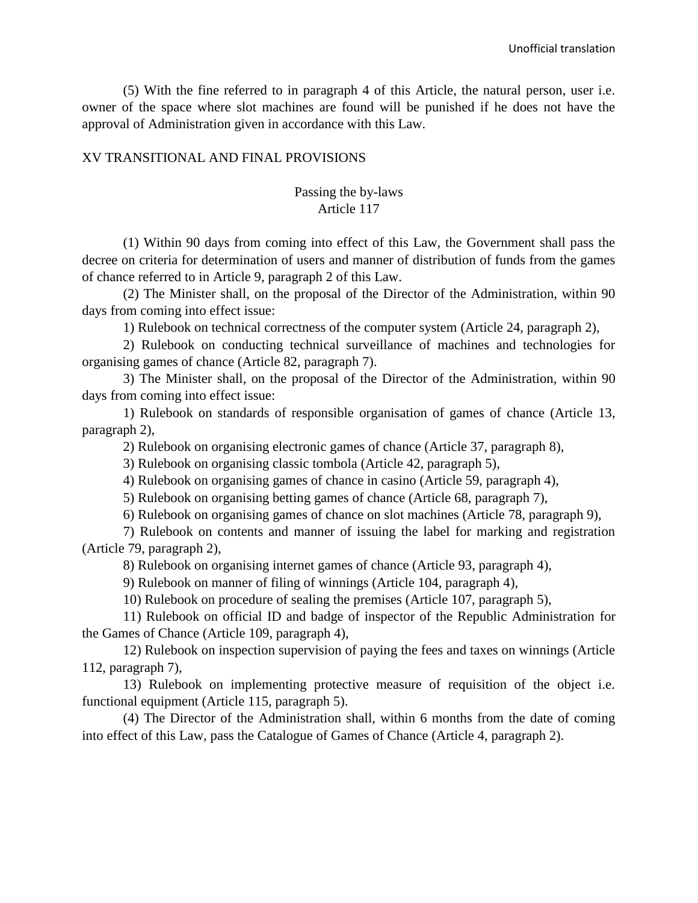(5) With the fine referred to in paragraph 4 of this Article, the natural person, user i.e. owner of the space where slot machines are found will be punished if he does not have the approval of Administration given in accordance with this Law.

#### XV TRANSITIONAL AND FINAL PROVISIONS

# Passing the by-laws Article 117

(1) Within 90 days from coming into effect of this Law, the Government shall pass the decree on criteria for determination of users and manner of distribution of funds from the games of chance referred to in Article 9, paragraph 2 of this Law.

(2) The Minister shall, on the proposal of the Director of the Administration, within 90 days from coming into effect issue:

1) Rulebook on technical correctness of the computer system (Article 24, paragraph 2),

2) Rulebook on conducting technical surveillance of machines and technologies for organising games of chance (Article 82, paragraph 7).

3) The Minister shall, on the proposal of the Director of the Administration, within 90 days from coming into effect issue:

1) Rulebook on standards of responsible organisation of games of chance (Article 13, paragraph 2),

2) Rulebook on organising electronic games of chance (Article 37, paragraph 8),

3) Rulebook on organising classic tombola (Article 42, paragraph 5),

4) Rulebook on organising games of chance in casino (Article 59, paragraph 4),

5) Rulebook on organising betting games of chance (Article 68, paragraph 7),

6) Rulebook on organising games of chance on slot machines (Article 78, paragraph 9),

7) Rulebook on contents and manner of issuing the label for marking and registration (Article 79, paragraph 2),

8) Rulebook on organising internet games of chance (Article 93, paragraph 4),

9) Rulebook on manner of filing of winnings (Article 104, paragraph 4),

10) Rulebook on procedure of sealing the premises (Article 107, paragraph 5),

11) Rulebook on official ID and badge of inspector of the Republic Administration for the Games of Chance (Article 109, paragraph 4),

12) Rulebook on inspection supervision of paying the fees and taxes on winnings (Article 112, paragraph 7),

13) Rulebook on implementing protective measure of requisition of the object i.e. functional equipment (Article 115, paragraph 5).

(4) The Director of the Administration shall, within 6 months from the date of coming into effect of this Law, pass the Catalogue of Games of Chance (Article 4, paragraph 2).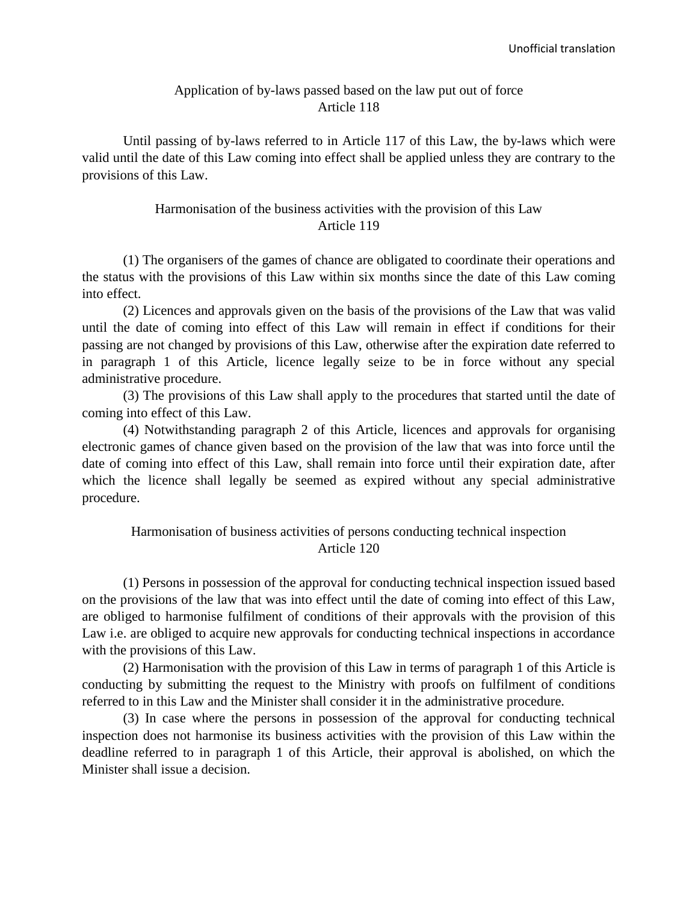#### Application of by-laws passed based on the law put out of force Article 118

Until passing of by-laws referred to in Article 117 of this Law, the by-laws which were valid until the date of this Law coming into effect shall be applied unless they are contrary to the provisions of this Law.

#### Harmonisation of the business activities with the provision of this Law Article 119

(1) The organisers of the games of chance are obligated to coordinate their operations and the status with the provisions of this Law within six months since the date of this Law coming into effect.

(2) Licences and approvals given on the basis of the provisions of the Law that was valid until the date of coming into effect of this Law will remain in effect if conditions for their passing are not changed by provisions of this Law, otherwise after the expiration date referred to in paragraph 1 of this Article, licence legally seize to be in force without any special administrative procedure.

(3) The provisions of this Law shall apply to the procedures that started until the date of coming into effect of this Law.

(4) Notwithstanding paragraph 2 of this Article, licences and approvals for organising electronic games of chance given based on the provision of the law that was into force until the date of coming into effect of this Law, shall remain into force until their expiration date, after which the licence shall legally be seemed as expired without any special administrative procedure.

# Harmonisation of business activities of persons conducting technical inspection Article 120

(1) Persons in possession of the approval for conducting technical inspection issued based on the provisions of the law that was into effect until the date of coming into effect of this Law, are obliged to harmonise fulfilment of conditions of their approvals with the provision of this Law i.e. are obliged to acquire new approvals for conducting technical inspections in accordance with the provisions of this Law.

(2) Harmonisation with the provision of this Law in terms of paragraph 1 of this Article is conducting by submitting the request to the Ministry with proofs on fulfilment of conditions referred to in this Law and the Minister shall consider it in the administrative procedure.

(3) In case where the persons in possession of the approval for conducting technical inspection does not harmonise its business activities with the provision of this Law within the deadline referred to in paragraph 1 of this Article, their approval is abolished, on which the Minister shall issue a decision.